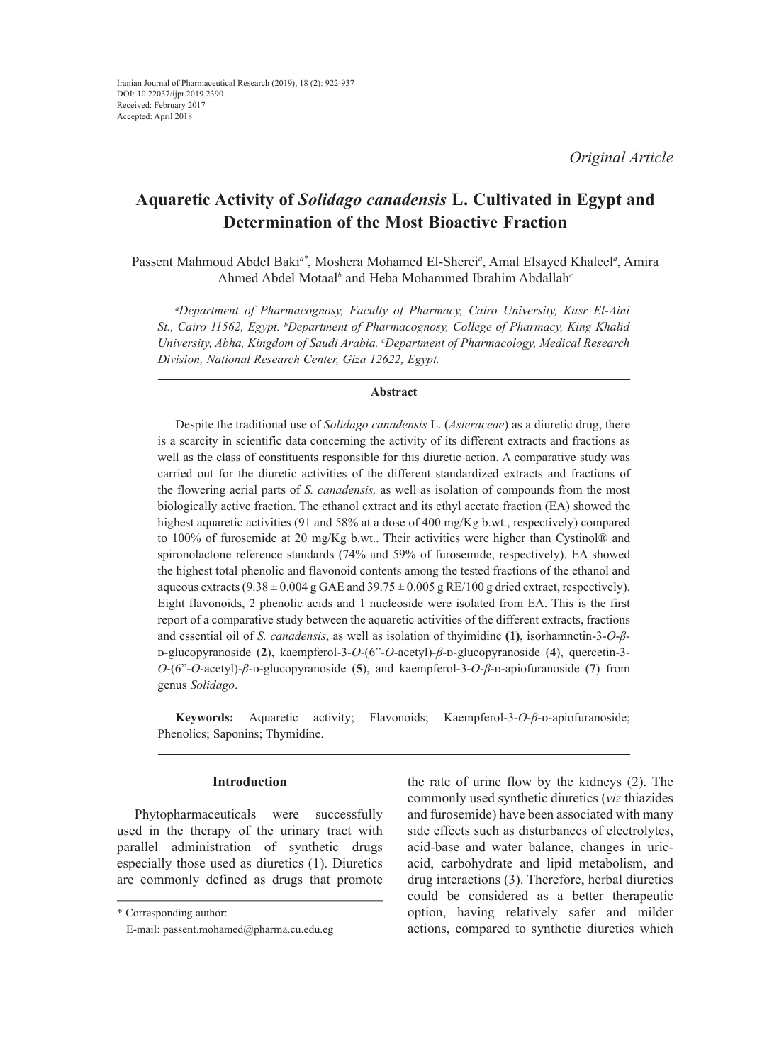# **Aquaretic Activity of** *Solidago canadensis* **L. Cultivated in Egypt and Determination of the Most Bioactive Fraction**

Passent Mahmoud Abdel Baki*a\**, Moshera Mohamed El-Sherei*<sup>a</sup>* , Amal Elsayed Khaleel*<sup>a</sup>* , Amira Ahmed Abdel Motaal*<sup>b</sup>* and Heba Mohammed Ibrahim Abdallah*<sup>c</sup>*

*a Department of Pharmacognosy, Faculty of Pharmacy, Cairo University, Kasr El-Aini*  St., Cairo 11562, Egypt. <sup>b</sup>Department of Pharmacognosy, College of Pharmacy, King Khalid *University, Abha, Kingdom of Saudi Arabia. c Department of Pharmacology, Medical Research Division, National Research Center, Giza 12622, Egypt.*

### **Abstract**

Despite the traditional use of *Solidago canadensis* L. (*Asteraceae*) as a diuretic drug, there is a scarcity in scientific data concerning the activity of its different extracts and fractions as well as the class of constituents responsible for this diuretic action. A comparative study was carried out for the diuretic activities of the different standardized extracts and fractions of the flowering aerial parts of *S. canadensis,* as well as isolation of compounds from the most biologically active fraction. The ethanol extract and its ethyl acetate fraction (EA) showed the highest aquaretic activities (91 and 58% at a dose of 400 mg/Kg b.wt., respectively) compared to 100% of furosemide at 20 mg/Kg b.wt.. Their activities were higher than Cystinol® and spironolactone reference standards (74% and 59% of furosemide, respectively). EA showed the highest total phenolic and flavonoid contents among the tested fractions of the ethanol and aqueous extracts (9.38  $\pm$  0.004 g GAE and 39.75  $\pm$  0.005 g RE/100 g dried extract, respectively). Eight flavonoids, 2 phenolic acids and 1 nucleoside were isolated from EA. This is the first report of a comparative study between the aquaretic activities of the different extracts, fractions and essential oil of *S. canadensis*, as well as isolation of thyimidine **(1)**, isorhamnetin-3-*O*-*β*ᴅ-glucopyranoside (**2**), kaempferol-3-*O*-(6"-*O*-acetyl)-*β*-ᴅ-glucopyranoside (**4**), quercetin-3- *O*-(6"-*O*-acetyl)-*β*-ᴅ-glucopyranoside (**5**), and kaempferol-3-*O*-*β*-ᴅ-apiofuranoside (**7**) from genus *Solidago*.

**Keywords:** Aquaretic activity; Flavonoids; Kaempferol-3-*O-β*-*D*-apiofuranoside; Phenolics; Saponins; Thymidine.

# **Introduction**

Phytopharmaceuticals were successfully used in the therapy of the urinary tract with parallel administration of synthetic drugs especially those used as diuretics (1). Diuretics are commonly defined as drugs that promote

the rate of urine flow by the kidneys (2). The commonly used synthetic diuretics (*viz* thiazides and furosemide) have been associated with many side effects such as disturbances of electrolytes, acid-base and water balance, changes in uricacid, carbohydrate and lipid metabolism, and drug interactions (3). Therefore, herbal diuretics could be considered as a better therapeutic option, having relatively safer and milder actions, compared to synthetic diuretics which

<sup>\*</sup> Corresponding author:

E-mail: passent.mohamed@pharma.cu.edu.eg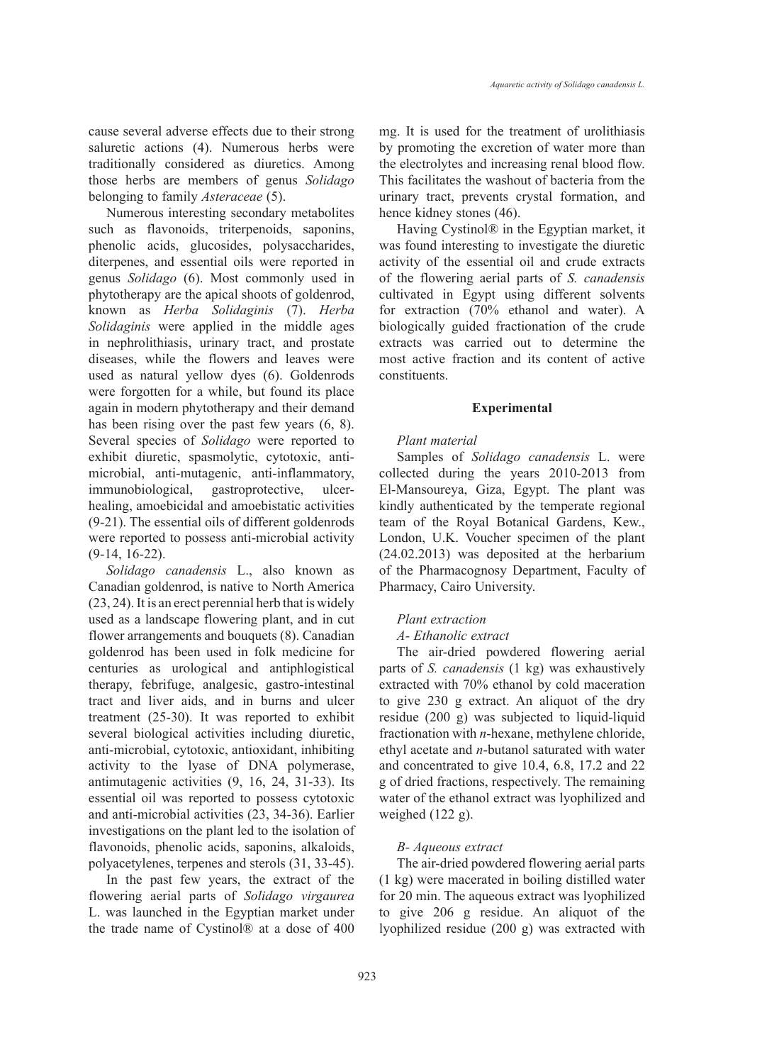cause several adverse effects due to their strong saluretic actions (4). Numerous herbs were traditionally considered as diuretics. Among those herbs are members of genus *Solidago*  belonging to family *Asteraceae* (5).

Numerous interesting secondary metabolites such as flavonoids, triterpenoids, saponins, phenolic acids, glucosides, polysaccharides, diterpenes, and essential oils were reported in genus *Solidago* (6). Most commonly used in phytotherapy are the apical shoots of goldenrod, known as *Herba Solidaginis* (7). *Herba Solidaginis* were applied in the middle ages in nephrolithiasis, urinary tract, and prostate diseases, while the flowers and leaves were used as natural yellow dyes (6). Goldenrods were forgotten for a while, but found its place again in modern phytotherapy and their demand has been rising over the past few years (6, 8). Several species of *Solidago* were reported to exhibit diuretic, spasmolytic, cytotoxic, antimicrobial, anti-mutagenic, anti-inflammatory, immunobiological, gastroprotective, ulcerhealing, amoebicidal and amoebistatic activities (9-21). The essential oils of different goldenrods were reported to possess anti-microbial activity (9-14, 16-22).

*Solidago canadensis* L., also known as Canadian goldenrod, is native to North America (23, 24). It is an erect perennial herb that is widely used as a landscape flowering plant, and in cut flower arrangements and bouquets (8). Canadian goldenrod has been used in folk medicine for centuries as urological and antiphlogistical therapy, febrifuge, analgesic, gastro-intestinal tract and liver aids, and in burns and ulcer treatment (25-30). It was reported to exhibit several biological activities including diuretic, anti-microbial, cytotoxic, antioxidant, inhibiting activity to the lyase of DNA polymerase, antimutagenic activities (9, 16, 24, 31-33). Its essential oil was reported to possess cytotoxic and anti-microbial activities (23, 34-36). Earlier investigations on the plant led to the isolation of flavonoids, phenolic acids, saponins, alkaloids, polyacetylenes, terpenes and sterols (31, 33-45).

In the past few years, the extract of the flowering aerial parts of *Solidago virgaurea* L. was launched in the Egyptian market under the trade name of Cystinol® at a dose of 400 mg. It is used for the treatment of urolithiasis by promoting the excretion of water more than the electrolytes and increasing renal blood flow. This facilitates the washout of bacteria from the urinary tract, prevents crystal formation, and hence kidney stones (46).

*Aquaretic activity of Solidago canadensis L.*

Having Cystinol® in the Egyptian market, it was found interesting to investigate the diuretic activity of the essential oil and crude extracts of the flowering aerial parts of *S. canadensis*  cultivated in Egypt using different solvents for extraction (70% ethanol and water). A biologically guided fractionation of the crude extracts was carried out to determine the most active fraction and its content of active constituents.

# **Experimental**

### *Plant material*

Samples of *Solidago canadensis* L. were collected during the years 2010-2013 from El-Mansoureya, Giza, Egypt. The plant was kindly authenticated by the temperate regional team of the Royal Botanical Gardens, Kew., London, U.K. Voucher specimen of the plant (24.02.2013) was deposited at the herbarium of the Pharmacognosy Department, Faculty of Pharmacy, Cairo University.

# *Plant extraction*

# *A- Ethanolic extract*

The air-dried powdered flowering aerial parts of *S. canadensis* (1 kg) was exhaustively extracted with 70% ethanol by cold maceration to give 230 g extract. An aliquot of the dry residue (200 g) was subjected to liquid-liquid fractionation with *n*-hexane, methylene chloride, ethyl acetate and *n*-butanol saturated with water and concentrated to give 10.4, 6.8, 17.2 and 22 g of dried fractions, respectively. The remaining water of the ethanol extract was lyophilized and weighed (122 g).

# *B- Aqueous extract*

The air-dried powdered flowering aerial parts (1 kg) were macerated in boiling distilled water for 20 min. The aqueous extract was lyophilized to give 206 g residue. An aliquot of the lyophilized residue (200 g) was extracted with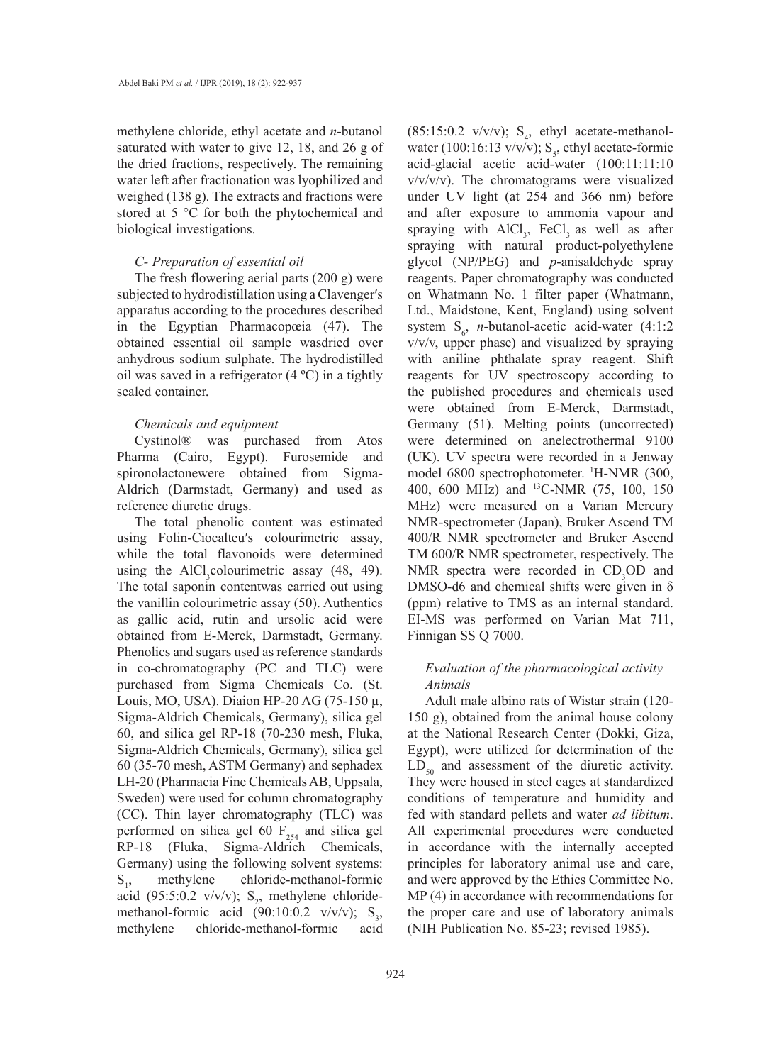methylene chloride, ethyl acetate and *n*-butanol saturated with water to give 12, 18, and 26 g of the dried fractions, respectively. The remaining water left after fractionation was lyophilized and weighed (138 g). The extracts and fractions were stored at 5 °C for both the phytochemical and biological investigations.

### *C- Preparation of essential oil*

The fresh flowering aerial parts (200 g) were subjected to hydrodistillation using a Clavenger′s apparatus according to the procedures described in the Egyptian Pharmacopœia (47). The obtained essential oil sample wasdried over anhydrous sodium sulphate. The hydrodistilled oil was saved in a refrigerator  $(4 \degree C)$  in a tightly sealed container.

### *Chemicals and equipment*

Cystinol® was purchased from Atos Pharma (Cairo, Egypt). Furosemide and spironolactonewere obtained from Sigma-Aldrich (Darmstadt, Germany) and used as reference diuretic drugs.

The total phenolic content was estimated using Folin-Ciocalteu′s colourimetric assay, while the total flavonoids were determined using the  $AICI_3$ colourimetric assay (48, 49). The total saponin contentwas carried out using the vanillin colourimetric assay (50). Authentics as gallic acid, rutin and ursolic acid were obtained from E-Merck, Darmstadt, Germany. Phenolics and sugars used as reference standards in co-chromatography (PC and TLC) were purchased from Sigma Chemicals Co. (St. Louis, MO, USA). Diaion HP-20 AG (75-150 µ, Sigma-Aldrich Chemicals, Germany), silica gel 60, and silica gel RP-18 (70-230 mesh, Fluka, Sigma-Aldrich Chemicals, Germany), silica gel 60 (35-70 mesh, ASTM Germany) and sephadex LH-20 (Pharmacia Fine Chemicals AB, Uppsala, Sweden) were used for column chromatography (CC). Thin layer chromatography (TLC) was performed on silica gel 60  $F_{254}$  and silica gel RP-18 (Fluka, Sigma-Aldrich Chemicals, Germany) using the following solvent systems:  $S_{12}$ , methylene chloride-methanol-formic acid (95:5:0.2 v/v/v);  $S_2$ , methylene chloridemethanol-formic acid  $(90:10:0.2 \text{ v/v/v}); S_{3}$ methylene chloride-methanol-formic acid

 $(85:15:0.2 \text{ v/v/v})$ ; S<sub>4</sub>, ethyl acetate-methanolwater (100:16:13 v/v/v);  $S_s$ , ethyl acetate-formic acid-glacial acetic acid-water (100:11:11:10  $v/v/v/v$ ). The chromatograms were visualized under UV light (at 254 and 366 nm) before and after exposure to ammonia vapour and spraying with  $AICI_3$ , FeCl<sub>3</sub> as well as after spraying with natural product-polyethylene glycol (NP/PEG) and *p*-anisaldehyde spray reagents. Paper chromatography was conducted on Whatmann No. 1 filter paper (Whatmann, Ltd., Maidstone, Kent, England) using solvent system  $S_6$ , *n*-butanol-acetic acid-water (4:1:2) v/v/v, upper phase) and visualized by spraying with aniline phthalate spray reagent. Shift reagents for UV spectroscopy according to the published procedures and chemicals used were obtained from E-Merck, Darmstadt, Germany (51). Melting points (uncorrected) were determined on anelectrothermal 9100 (UK). UV spectra were recorded in a Jenway model 6800 spectrophotometer. <sup>1</sup>H-NMR (300, 400, 600 MHz) and 13C-NMR (75, 100, 150 MHz) were measured on a Varian Mercury NMR-spectrometer (Japan), Bruker Ascend TM 400/R NMR spectrometer and Bruker Ascend TM 600/R NMR spectrometer, respectively. The NMR spectra were recorded in  $CD<sub>3</sub>OD$  and DMSO-d6 and chemical shifts were given in δ (ppm) relative to TMS as an internal standard. EI-MS was performed on Varian Mat 711, Finnigan SS Q 7000.

# *Evaluation of the pharmacological activity Animals*

Adult male albino rats of Wistar strain (120- 150 g), obtained from the animal house colony at the National Research Center (Dokki, Giza, Egypt), were utilized for determination of the  $LD_{50}$  and assessment of the diuretic activity. They were housed in steel cages at standardized conditions of temperature and humidity and fed with standard pellets and water *ad libitum*. All experimental procedures were conducted in accordance with the internally accepted principles for laboratory animal use and care, and were approved by the Ethics Committee No. MP (4) in accordance with recommendations for the proper care and use of laboratory animals (NIH Publication No. 85-23; revised 1985).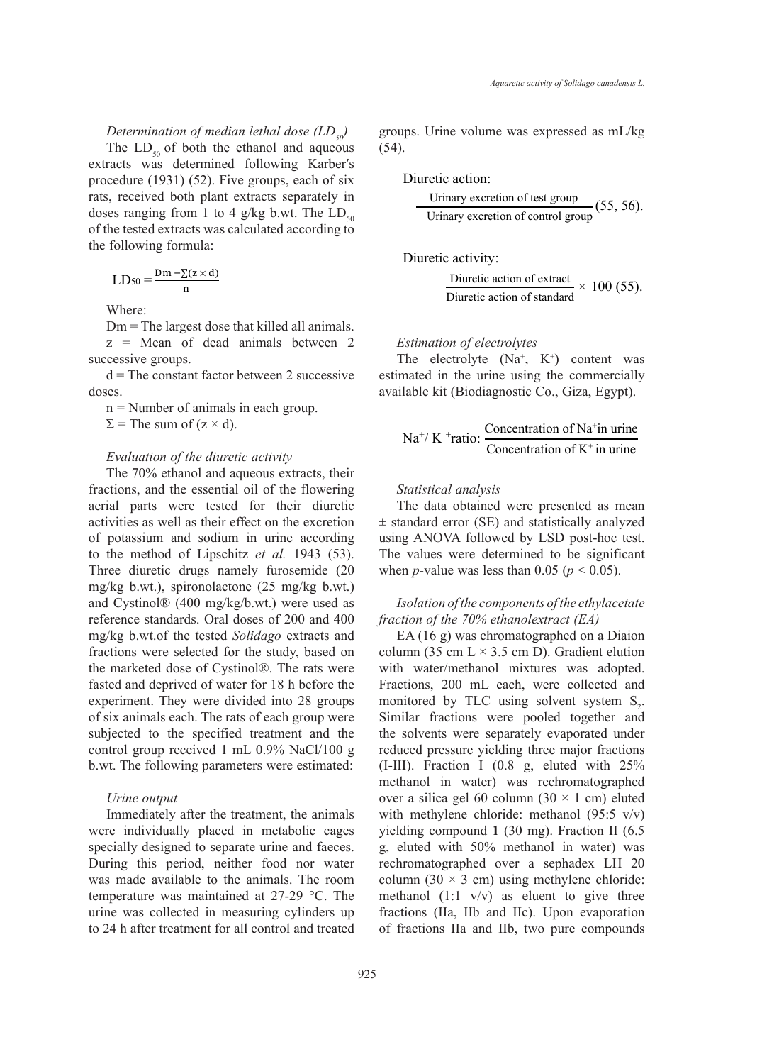### *Determination of median lethal dose (LD<sub>50</sub>)*

The  $LD_{50}$  of both the ethanol and aqueous extracts was determined following Karber′s procedure (1931) (52). Five groups, each of six rats, received both plant extracts separately in doses ranging from 1 to 4 g/kg b.wt. The  $LD_{50}$ of the tested extracts was calculated according to the following formula:  $\sum_{i=1}^{n}$ Diuretic activity: Diuretic action of extract

$$
LD_{50} = \frac{Dm - \sum(z \times d)}{n}
$$

Where:

 $Dm$  = The largest dose that killed all animals. z = Mean of dead animals between 2 successive groups.

 $d =$ The constant factor between 2 successive doses.

n = Number of animals in each group.  $\Sigma$  = The sum of (z × d).  $n =$  $n$  =

### *Evaluation of the diuretic activity*

The 70% ethanol and aqueous extracts, their fractions, and the essential oil of the flowering aerial parts were tested for their diuretic activities as well as their effect on the excretion The 70% ethanol and according the results of potassium and sodium in urine according using AN to the method of Lipschitz et al. 1943 (53). The value Three diuretic drugs namely furosemide (20 mg/kg b.wt.), spironolactone  $(25 \text{ mg/kg b.wt.})$ and Cystinol® (400 mg/kg/b.wt.) were used as *Isolatic* reference standards. Oral doses of 200 and 400 mg/kg b.wt.of the tested *Solidago* extracts and EA (16 fractions were selected for the study, based on column (3) the marketed dose of Cystinol®. The rats were fasted and deprived of water for 18 h before the Fractions, experiment. They were divided into 28 groups monitored of six animals each. The rats of each group were subjected to the specified treatment and the control group were subjected to the specified treatment and the colven control group received  $1 \text{ mL } 0.9\%$  NaCl/100 g. b.wt. The following parameters were estimated: *Evaluation of the diuretic activity Evaluation of the diuretic activity* 

#### *Urine output* Urine output and the treatments were a sili- $U$ rine output  $U$

Immediately after the treatment, the animals were individually placed in metabolic cages yielding c specially designed to separate urine and faeces. g, eluted During this period, neither food nor water was made available to the animals. The room column  $(3$ temperature was maintained at  $27-29$  °C. The urine was collected in measuring cylinders up to 24 h after treatment for all control and treated

 $D_{50}$  groups. Urine volume was expressed as mL/kg (54).  $\mu_{\text{c} \text{true}}$  (54).  $\frac{u_1 - u_2}{v_1 - v_2}$  agreep to 24 h collected in measuring collected in  $\frac{u_1 - u_2}{v_1 - v_2}$  $\mathbf{t}$ reated groups. Urine volume was expressed as  $\mathbf{t}$  $(u^2 + 1)$ was made available to the animals. The animals  $\mathcal{L}_\mathcal{A}$  is the animals. The room temperature  $\mathcal{L}_\mathcal{A}$  $(54)$ .

 $\text{Dir}$  measuring collection  $\text{Dir}$ the of six Diuretic action:  $D<sub>ij</sub>$  collection  $\alpha$ 

$$
\begin{array}{ll}\n\text{rately in} & \text{Urinary execution of test group} \\
\text{The LD}_{50} & \text{Urinary execution of control group} \\
\text{for } \text{true} & \text{trivial} \\
\text{trivial} & \text{trivial} \\
\text{trivial} & \text{trivial} \\
\text{trivial} & \text{trivial} \\
\text{trivial} & \text{trivial} \\
\text{trivial} & \text{trivial} \\
\text{trivial} & \text{trivial} \\
\text{trivial} & \text{trivial} \\
\text{trivial} & \text{trivial} \\
\text{trivial} & \text{trivial} \\
\text{trivial} & \text{trivial} \\
\text{trivial} & \text{trivial} \\
\text{trivial} & \text{trivial} \\
\text{trivial} & \text{trivial} \\
\text{trivial} & \text{trivial} \\
\text{trivial} & \text{trivial} \\
\text{trivial} & \text{trivial} \\
\text{trivial} & \text{trivial} \\
\text{trivial} & \text{trivial} \\
\text{trivial} & \text{trivial} \\
\text{trivial} & \text{trivial} \\
\text{trivial} & \text{trivial} \\
\text{trivial} & \text{trivial} \\
\text{trivial} & \text{trivial} \\
\text{trivial} & \text{trivial} \\
\text{trivial} & \text{trivial} \\
\text{trivial} & \text{trivial} \\
\text{trivial} & \text{trivial} \\
\text{trivial} & \text{trivial} \\
\text{trivial} & \text{trivial} \\
\text{trivial} & \text{trivial} \\
\text{trivial} & \text{trivial} \\
\text{trivial} & \text{trivial} \\
\text{trivial} & \text{trivial} \\
\text{trivial} & \text{trivial} \\
\text{trivial} & \text{trivial} \\
\text{trivial} & \text{trivial} \\
\text{trivial} & \text{trivial} \\
\text{trivial} & \text{trivial} \\
\text{trivial} & \text{trivial} \\
\text{trivial} & \text{trivial} \\
\text{trivial} & \text{trivial} \\
\text{trivial} & \text{trivial} \\
\text{trivial} & \text{trivial} \\
$$

Diuretic activity: Diuretic action of standard x 100 (55). netivity:

Diuretic action of extract<br>Diuretic action of standard  $\times$  100 (55). Diuretic action of extract<br>Diuretic action of standard  $\times$  100 (55).

# *Estimation of electrolytes Estimation of electrolytes*

The electrolyte  $(Na^+, K^+)$  content was *inated in the vine veing* the commercially The electrolyte  $(Na, K)$  content was estimated in the urine using the commercially available kit (Biodiagnostic Co., Giza, Egypt). 6 an (Biodiagnostic Co., Giza, Egypt).  $T$  the time time  $\sum_{n=1}^{\infty}$  and  $\sum_{n=1}^{\infty}$  commercially

$$
Na^{+}/ K^{+} ratio: \frac{Concentration of Na^{+} in urine}{Concentration of K^{+} in urine}
$$

# *Statistical analysis Statistical analysis Statistical analysis*

The data obtained were presented as mean  $\pm$  standard error (SE) and statistically analyzed using ANOVA followed by LSD post-hoc test. using ANOVA followed by LSD post-hoc test.<br>The values were determined to be significant when *p*-value was less than 0.05 ( $p < 0.05$ ).

# *Isolation of the components of the ethylacetate*  $frac{1}{2}$   $frac{1}{2}$   $frac{1}{2}$   $frac{1}{2}$   $frac{1}{2}$   $frac{1}{2}$   $frac{1}{2}$   $frac{1}{2}$   $frac{1}{2}$   $frac{1}{2}$   $frac{1}{2}$   $frac{1}{2}$   $frac{1}{2}$   $frac{1}{2}$   $frac{1}{2}$   $frac{1}{2}$   $frac{1}{2}$   $frac{1}{2}$   $frac{1}{2}$  *fraction of the 70% ethanolextract (EA)*

 $EA(16 g)$  was chromatographed on a Diaion column (35 cm  $L \times 3.5$  cm D). Gradient elution Forthanol mixtures was adopted. Fractions, 200 mL each, were collected and monitored by TLC using solvent system  $S_2$ . Similar fractions were pooled together and Sumater inactions were pooled together and the solvents were separately evaporated under reduced pressure yielding three major fractions reduced pressure yielding three major fractions  $(I-HII)$ . Fraction I  $(0.8 \text{ g}, \text{eluted with } 25\%$ methanol in water) was rechromatographed<br>over a silica gel 60 column  $(30 \times 1$  cm) eluted over a silica gel 60 column (30  $\times$  1 cm) eluted with methylene chloride: methanol (95:5 v/v) with methylene chloride: methanol  $(95.5 \text{ V/V})$ <br>yielding compound 1 (30 mg). Fraction II (6.5 g, eluted with 50% methanol in water) was g, eiuted with 50% methanol in water) was<br>rechromatographed over a sephadex LH 20 column  $(30 \times 3$  cm) using methylene chloride:<br>method  $(1.1 \text{ y/y})$  as elyent to give three methanol  $(1:1 \text{ v/v})$  as eluent to give three fractions (IIa, IIb and IIc). Upon evaporation  $\epsilon$  fractions IIa and IIa two guns compounds of fractions IIa and IIb, two pure compounds  $\sum_{\text{1 and } \text{1}}^{\infty}$  **1** mg  $\sum_{\text{2 and } \text{2}}^{\infty}$  **1** methromatographed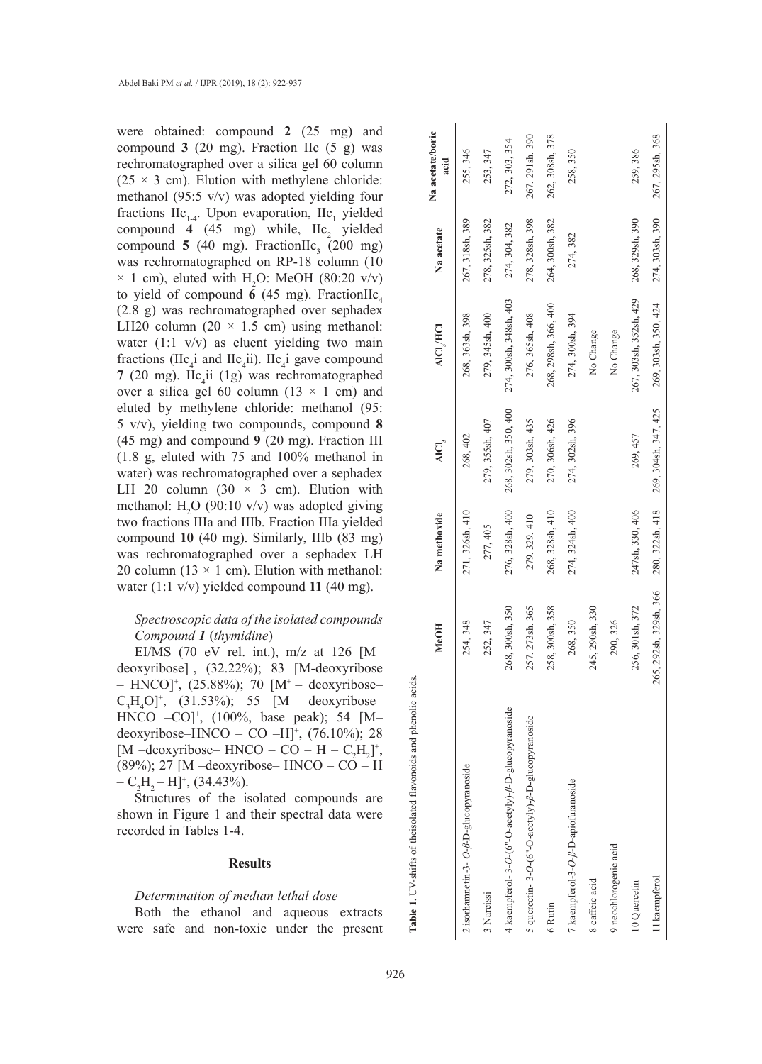were obtained: compound **2** (25 mg) and compound  $3$  (20 mg). Fraction IIc (5 g) was rechromatographed over a silica gel 60 column  $(25 \times 3$  cm). Elution with methylene chloride: methanol (95:5 v/v) was adopted yielding four fractions  $\text{IIc}_{1\text{-}4}$ . Upon evaporation,  $\text{IIc}_{1}$  yielded compound **4** (45 mg) while,  $\text{IIc}_2$  yielded compound  $\overline{5}$  (40 mg). FractionIIc<sub>3</sub> (200 mg) was rechromatographed on RP-18 column (10  $\times$  1 cm), eluted with H<sub>2</sub>O: MeOH (80:20 v/v) to yield of compound **6** (45 mg). FractionIIc 4 (2.8 g) was rechromatographed over sephadex LH20 column (20  $\times$  1.5 cm) using methanol: water  $(1:1 \text{ v/v})$  as eluent yielding two main fractions (IIc<sub>4</sub>i and IIc<sub>4</sub>ii). IIc<sub>4</sub>i gave compound **7** (20 mg). IIc 4 ii (1g) was rechromatographed over a silica gel 60 column (13  $\times$  1 cm) and eluted by methylene chloride: methanol (95: 5 v/v), yielding two compounds, compound **8**  (45 mg) and compound **9** (20 mg). Fraction III (1.8 g, eluted with 75 and 100% methanol in water) was rechromatographed over a sephadex LH 20 column (30  $\times$  3 cm). Elution with methanol:  $H_2O$  (90:10 v/v) was adopted giving two fractions IIIa and IIIb. Fraction IIIa yielded compound **10** (40 mg). Similarly, IIIb (83 mg) was rechromatographed over a sephadex LH 20 column (13  $\times$  1 cm). Elution with methanol: water (1:1 v/v) yielded compound **11** (40 mg).

# *Spectroscopic data of the isolated compounds Compound 1* (*thymidine* )

EI/MS (70 eV rel. int.), m/z at 126 [M– deoxyribose] + , (32.22%); 83 [M-deoxyribose – HNCO]<sup>+</sup>, (25.88%); 70 [M<sup>+</sup> – deoxyribose–  $C_3H_4O$ <sup>+</sup>, (31.53%); 55 [M –deoxyribose– HNCO –CO] + , (100%, base peak); 54 [M– deoxyribose–HNCO – CO –H] + , (76.10%); 28 [M –deoxyribose– HNCO – CO – H –  $C_2H_2$ ]<sup>+</sup>, (89%); 27 [M –deoxyribose– HNCO – CO – H  $-C_2H_2-H]^+$ , (34.43%).

Structures of the isolated compounds are shown in Figure 1 and their spectral data were recorded in Tables 1-4.

### **Results**

### *Determination of median lethal dose*

Both the ethanol and aqueous extracts were safe and non-toxic under the present

| Table 1. UV-shifts of theisolated flavonoids and phenolic acids. |                        |                 |                      |                        |                 | Na acetate/boric |
|------------------------------------------------------------------|------------------------|-----------------|----------------------|------------------------|-----------------|------------------|
|                                                                  | <b>MeOH</b>            | Na methoxide    | AICI,                | <b>AICI, HCI</b>       | Na acetate      | acid             |
| 2 isorhamnetin-3- $O-\beta$ -D-glucopyranoside                   | 254, 348               | 271, 326sh, 410 | 268, 402             | 268, 363sh, 398        | 267, 318sh, 389 | 255, 346         |
| 3 Narcissi                                                       | 252, 347               | 277, 405        | 279, 355sh, 407      | 279, 345sh, 400        | 278, 325sh, 382 | 253, 347         |
| 4 kaempferol- 3-O-(6"-O-acetyly)- $\beta$ -D-glucopyranoside     | 268, 300sh, 350        | 276, 328sh, 400 | 268, 302sh, 350, 400 | 274, 300sh, 348sh, 403 | 274, 304, 382   | 272, 303, 354    |
| 5 quercetin- 3-O-(6"-O-acetyly)- $\beta$ -D-glucopyranoside      | 257, 273sh, 365        | 279, 329, 410   | 279, 303sh, 435      | 276, 365sh, 408        | 278, 328sh, 398 | 267, 291sh, 390  |
| 6 Rutin                                                          | 258, 300sh, 358        | 268, 328sh, 410 | 270, 306sh, 426      | 268, 298sh, 366, 400   | 264, 300sh, 382 | 262, 308sh, 378  |
| 7 kaempferol-3-O-ß-D-apiofuranoside                              | 268, 350               | 274, 324sh, 400 | 274, 302sh, 396      | 274, 300sh, 394        | 274, 382        | 258, 350         |
| 8 caffeic acid                                                   | 245, 290sh, 330        |                 |                      | No Change              |                 |                  |
| 9 neochlorogenic acid                                            | 290, 326               |                 |                      | No Change              |                 |                  |
| 10 Quercetin                                                     | 256, 301sh, 372        | 247sh, 330, 406 | 269, 457             | 267, 303sh, 352sh, 429 | 268, 329sh, 390 | 259, 386         |
| 1 kaempferol                                                     | 265, 292sh, 329sh, 366 | 280, 322sh, 418 | 269, 304sh, 347, 425 | 269, 303sh, 350, 424   | 274, 303sh, 390 | 267, 295sh, 368  |
|                                                                  |                        |                 |                      |                        |                 |                  |

Table 1. UV-shifts of theisolated flavonoids and phenolic acids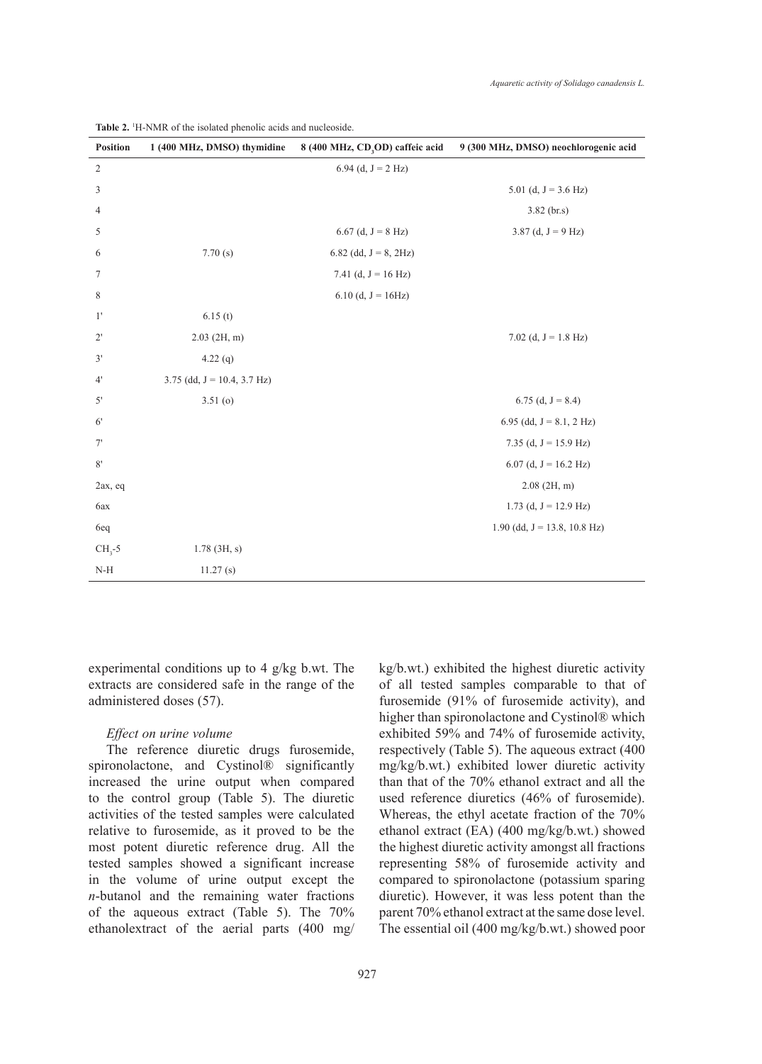| <b>Position</b> | 1 (400 MHz, DMSO) thymidine    | 8 (400 MHz, CD <sub>3</sub> OD) caffeic acid | 9 (300 MHz, DMSO) neochlorogenic acid |
|-----------------|--------------------------------|----------------------------------------------|---------------------------------------|
| $\overline{2}$  |                                | 6.94 (d, $J = 2 Hz$ )                        |                                       |
| 3               |                                |                                              | 5.01 (d, $J = 3.6$ Hz)                |
| 4               |                                |                                              | $3.82$ (br.s)                         |
| 5               |                                | $6.67$ (d, J = 8 Hz)                         | 3.87 (d, $J = 9$ Hz)                  |
| 6               | 7.70(s)                        | 6.82 (dd, $J = 8$ , 2Hz)                     |                                       |
| 7               |                                | 7.41 (d, $J = 16$ Hz)                        |                                       |
| $\,$ 8 $\,$     |                                | 6.10 (d, $J = 16Hz$ )                        |                                       |
| 1'              | 6.15(t)                        |                                              |                                       |
| $2^{\prime}$    | $2.03$ (2H, m)                 |                                              | 7.02 (d, $J = 1.8$ Hz)                |
| 3'              | $4.22$ (q)                     |                                              |                                       |
| 4'              | 3.75 (dd, $J = 10.4$ , 3.7 Hz) |                                              |                                       |
| 5'              | $3.51($ o $)$                  |                                              | 6.75 (d, $J = 8.4$ )                  |
| 6 <sup>′</sup>  |                                |                                              | 6.95 (dd, $J = 8.1, 2 Hz$ )           |
| 7'              |                                |                                              | 7.35 (d, $J = 15.9$ Hz)               |
| $8^\circ$       |                                |                                              | 6.07 (d, $J = 16.2$ Hz)               |
| 2ax, eq         |                                |                                              | $2.08$ (2H, m)                        |
| 6ax             |                                |                                              | 1.73 (d, $J = 12.9$ Hz)               |
| 6eq             |                                |                                              | $1.90$ (dd, $J = 13.8$ , 10.8 Hz)     |
| $CH3-5$         | $1.78$ (3H, s)                 |                                              |                                       |
| $N-H$           | 11.27(s)                       |                                              |                                       |

**Table 2.** <sup>1</sup> H-NMR of the isolated phenolic acids and nucleoside.

experimental conditions up to 4 g/kg b.wt. The extracts are considered safe in the range of the administered doses (57).

### *Effect on urine volume*

The reference diuretic drugs furosemide, spironolactone, and Cystinol® significantly increased the urine output when compared to the control group (Table 5). The diuretic activities of the tested samples were calculated relative to furosemide, as it proved to be the most potent diuretic reference drug. All the tested samples showed a significant increase in the volume of urine output except the *n*-butanol and the remaining water fractions of the aqueous extract (Table 5). The 70% ethanolextract of the aerial parts (400 mg/ kg/b.wt.) exhibited the highest diuretic activity of all tested samples comparable to that of furosemide (91% of furosemide activity), and higher than spironolactone and Cystinol® which exhibited 59% and 74% of furosemide activity, respectively (Table 5). The aqueous extract (400 mg/kg/b.wt.) exhibited lower diuretic activity than that of the 70% ethanol extract and all the used reference diuretics (46% of furosemide). Whereas, the ethyl acetate fraction of the 70% ethanol extract (EA) (400 mg/kg/b.wt.) showed the highest diuretic activity amongst all fractions representing 58% of furosemide activity and compared to spironolactone (potassium sparing diuretic). However, it was less potent than the parent 70% ethanol extract at the same dose level. The essential oil (400 mg/kg/b.wt.) showed poor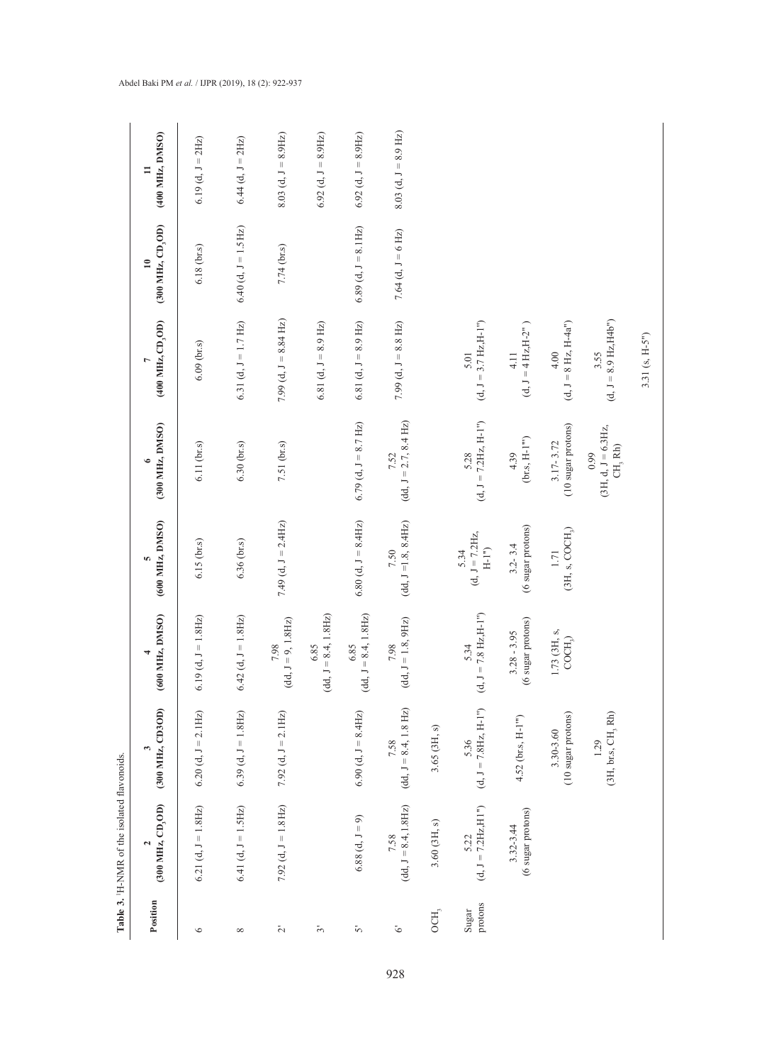|                           | Table 3. H-NMR of the isolated flavonoids |                                 |                                            |                                       |                                                             |                                   |                                   |                          |
|---------------------------|-------------------------------------------|---------------------------------|--------------------------------------------|---------------------------------------|-------------------------------------------------------------|-----------------------------------|-----------------------------------|--------------------------|
| Position                  | (300 MHz, CD, OD)                         | (300 MHz, CD3OD)                | (600 MHz, DMSO)                            | (600 MHz, DMSO)                       | (300 MHz, DMSO)                                             | $(400$ MHz, $CD$ <sub>3</sub> OD) | (300 MHz, CD, OD)<br>$\mathbf{r}$ | (400 MHz, DMSO)          |
| $\circ$                   | 6.21 (d, $J = 1.8$ Hz)                    | 6.20 (d, $J = 2.1Hz$ )          | $6.19$ (d, $J = 1.8$ Hz)                   | 6.15 (br.s)                           | 6.11 (br.s)                                                 | $6.09$ (br.s)                     | 6.18 (br.s)                       | 6.19 (d, $J = 2Hz$ )     |
| $\infty$                  | 6.41 (d, $J = 1.5Hz$ )                    | 6.39 (d, $J = 1.8$ Hz)          | $6.42$ (d, $J = 1.8$ Hz)                   | 6.36 (br.s)                           | $6.30$ (br.s)                                               | 6.31 (d, $J = 1.7$ Hz)            | $6.40$ (d, $J = 1.5$ Hz)          | $6.44$ (d, $J = 2Hz$ )   |
| $\tilde{\sim}$            | 7.92 (d, $J = 1.8$ Hz)                    | 7.92 (d, $J = 2.1 Hz$ )         | $(dd, J = 9, 1.8 Hz)$<br>7.98              | 7.49 (d, $J = 2.4Hz$ )                | 7.51 (br.s)                                                 | 7.99 (d, $J = 8.84$ Hz)           | 7.74 (br.s)                       | 8.03 (d, $J = 8.9$ Hz)   |
| ید                        |                                           |                                 | $J = 8.4, 1.8 \text{Hz}$<br>6.85<br>(dd,   |                                       |                                                             | 6.81 (d, $J = 8.9$ Hz)            |                                   | $6.92$ (d, $J = 8.9$ Hz) |
| in                        | $6.88$ (d, $J = 9$ )                      | $6.90$ (d, $J = 8.4$ Hz)        | $(dd, J = 8.4, 1.8 Hz)$<br>6.85            | $6.80$ (d, $J = 8.4$ Hz)              | $6.79$ (d, $J = 8.7$ Hz)                                    | 6.81 (d, $J = 8.9$ Hz)            | $6.89$ (d, $J = 8.1$ Hz)          | $6.92$ (d, $J = 8.9$ Hz) |
| $\tilde{\mathcal{C}}$     | $(dd, J = 8.4, 1.8 \text{Hz}$<br>7.58     | $(dd, J = 8.4, 1.8 Hz$<br>7.58  | $(dd, J = 1.8, 9Hz)$<br>$7.98\,$           | $(dd, J=1.8, 8.4Hz)$<br>7.50          | $(dd, J = 2.7, 8.4 \text{ Hz})$<br>7.52                     | 7.99 (d, $J = 8.8$ Hz)            | 7.64 (d, $J = 6$ Hz)              | $8.03$ (d, $J = 8.9$ Hz) |
| $\mathrm{OCH}_\mathrm{j}$ | $3.60$ (3H, s)                            | 3.65 (3H, s)                    |                                            |                                       |                                                             |                                   |                                   |                          |
| protons<br>Sugar          | $(d, J = 7.2 Hz, H1")$<br>5.22            | $(d, J = 7.8$ Hz, H-1")<br>5.36 | $= 7.8$ Hz, H-1")<br>5.34<br>(d, J)        | $(d, J = 7.2Hz,$<br>$H-I''$ )<br>5.34 | $(d, J = 7.2Hz, H-I")$<br>5.28                              | $(d, J = 3.7 Hz,H-I")$<br>5.01    |                                   |                          |
|                           | (6 sugar protons)<br>3.32-3.44            | 4.52 (br.s, H-1"")              | sugar protons)<br>$3.28 - 3.95$<br>$\circ$ | (6 sugar protons)<br>$3.2 - 3.4$      | (br.s, $\mathrm{H}\text{-}\mathrm{I}^{\mathrm{m}})$<br>4.39 | $(d, J = 4 Hz, H - 2m)$<br>4.11   |                                   |                          |
|                           |                                           | (10 sugar protons)<br>3.30-3.60 | 1.73 (3H, s,<br>COCH <sub>2</sub>          | (3H, s, COCH <sub>3</sub> )<br>1.71   | $(10 \text{ sugar protons})$<br>$3.17 - 3.72$               | $(d, J = 8 Hz, H-4a")$<br>4.00    |                                   |                          |
|                           |                                           | (3H, br.s, CH, Rh)<br>1.29      |                                            |                                       | $(3H, d, J = 6.3Hz,$<br>$\rm CH, \, Rh)$<br>0.99            | $(d, J = 8.9$ Hz, H4b")<br>3.55   |                                   |                          |
|                           |                                           |                                 |                                            |                                       |                                                             | 3.31 (s, H-5")                    |                                   |                          |

Abdel Baki PM *et al.* / IJPR (2019), 18 (2): 922-937

928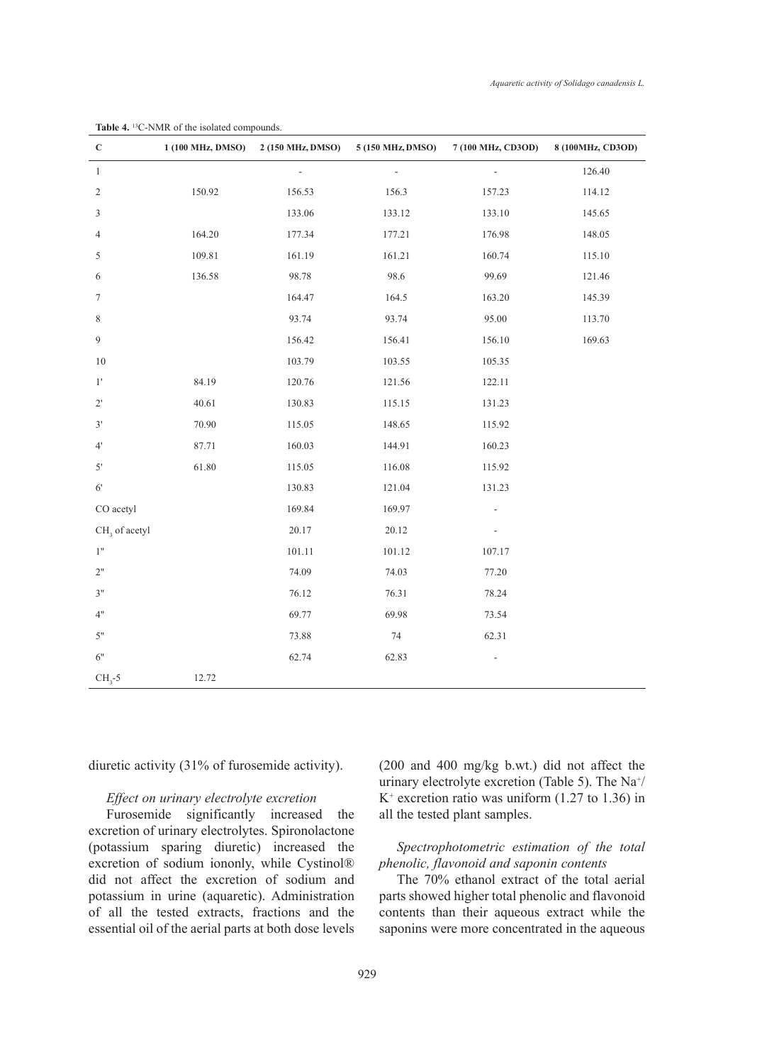| $\mathbf C$               | 1 (100 MHz, DMSO) | 2 (150 MHz, DMSO) | 5 (150 MHz, DMSO) | 7 (100 MHz, CD3OD) | 8 (100MHz, CD3OD) |
|---------------------------|-------------------|-------------------|-------------------|--------------------|-------------------|
| $\mathbf{1}$              |                   |                   | ÷,                | L.                 | 126.40            |
| $\sqrt{2}$                | 150.92            | 156.53            | 156.3             | 157.23             | 114.12            |
| 3                         |                   | 133.06            | 133.12            | 133.10             | 145.65            |
| $\overline{4}$            | 164.20            | 177.34            | 177.21            | 176.98             | 148.05            |
| 5                         | 109.81            | 161.19            | 161.21            | 160.74             | 115.10            |
| 6                         | 136.58            | 98.78             | 98.6              | 99.69              | 121.46            |
| $\boldsymbol{7}$          |                   | 164.47            | 164.5             | 163.20             | 145.39            |
| 8                         |                   | 93.74             | 93.74             | 95.00              | 113.70            |
| $\mathfrak{g}$            |                   | 156.42            | 156.41            | 156.10             | 169.63            |
| 10                        |                   | 103.79            | 103.55            | 105.35             |                   |
| $1^{\prime}$              | 84.19             | 120.76            | 121.56            | 122.11             |                   |
| $2^{\circ}$               | 40.61             | 130.83            | 115.15            | 131.23             |                   |
| $3'$                      | 70.90             | 115.05            | 148.65            | 115.92             |                   |
| $4^{\circ}$               | 87.71             | 160.03            | 144.91            | 160.23             |                   |
| $5'$                      | 61.80             | 115.05            | 116.08            | 115.92             |                   |
| $6^{\prime}$              |                   | 130.83            | 121.04            | 131.23             |                   |
| CO acetyl                 |                   | 169.84            | 169.97            | $\frac{1}{2}$      |                   |
| CH <sub>3</sub> of acetyl |                   | 20.17             | 20.12             |                    |                   |
| 1"                        |                   | 101.11            | 101.12            | 107.17             |                   |
| $2"$                      |                   | 74.09             | 74.03             | 77.20              |                   |
| 3"                        |                   | 76.12             | 76.31             | 78.24              |                   |
| 4"                        |                   | 69.77             | 69.98             | 73.54              |                   |
| $5"$                      |                   | 73.88             | $74\,$            | 62.31              |                   |
| 6"                        |                   | 62.74             | 62.83             | $\frac{1}{2}$      |                   |
| $CH3 - 5$                 | 12.72             |                   |                   |                    |                   |

**Table 4.** 13C-NMR of the isolated compounds.

diuretic activity (31% of furosemide activity).

# *Effect on urinary electrolyte excretion*

Furosemide significantly increased the excretion of urinary electrolytes. Spironolactone (potassium sparing diuretic) increased the excretion of sodium iononly, while Cystinol® did not affect the excretion of sodium and potassium in urine (aquaretic). Administration of all the tested extracts, fractions and the essential oil of the aerial parts at both dose levels (200 and 400 mg/kg b.wt.) did not affect the urinary electrolyte excretion (Table 5). The Na<sup>+</sup>/ K+ excretion ratio was uniform (1.27 to 1.36) in all the tested plant samples.

*Spectrophotometric estimation of the total phenolic, flavonoid and saponin contents*

The 70% ethanol extract of the total aerial parts showed higher total phenolic and flavonoid contents than their aqueous extract while the saponins were more concentrated in the aqueous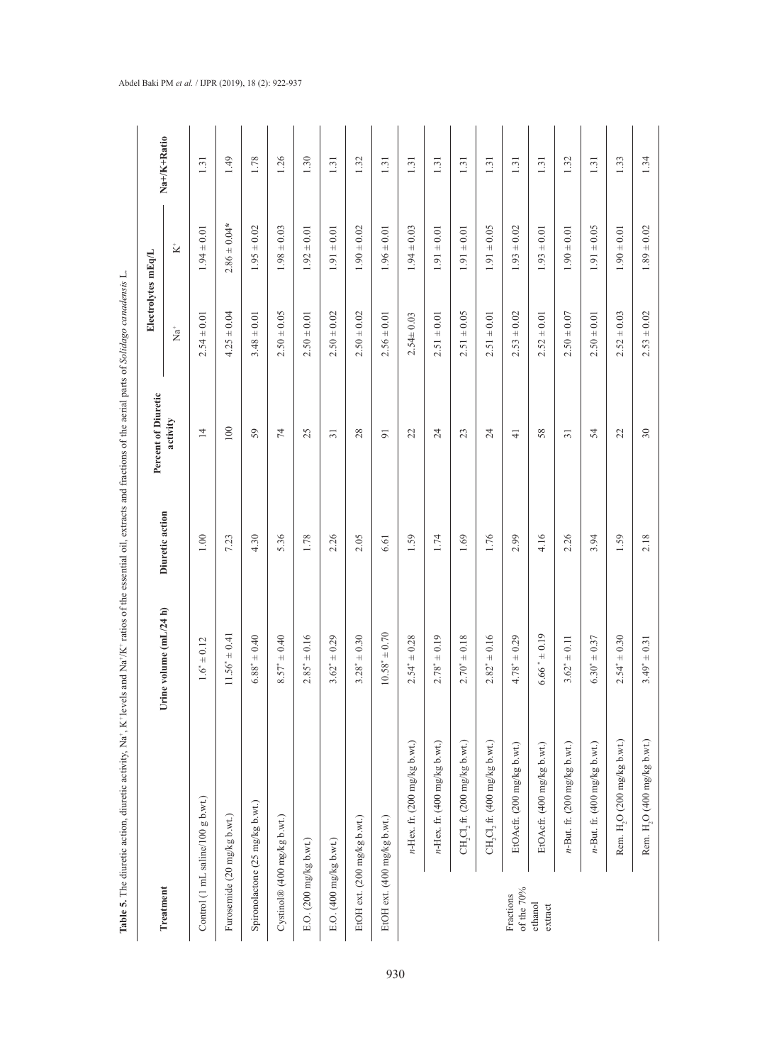|                             |                                         |                        |                 | 4                   |                            |                        |             |
|-----------------------------|-----------------------------------------|------------------------|-----------------|---------------------|----------------------------|------------------------|-------------|
|                             |                                         |                        |                 | Percent of Diuretic |                            | Electrolytes mEq/L     |             |
| Treatment                   |                                         | Urine volume (mL/24 h) | Diuretic action | activity            | $\mathop{^+}\nolimits^*_a$ | $\stackrel{+}{\simeq}$ | Na+/K+Ratio |
|                             | Control (1 mL saline/100 g b.wt.)       | $1.6^* \pm 0.12$       | 1.00            | 14                  | $2.54 \pm 0.01$            | $1.94 \pm 0.01$        | 1.31        |
| Furosemide (20 mg/kg b.wt.) |                                         | $1.56^* \pm 0.41$      | 7.23            | 100                 | $4.25 \pm 0.04$            | $2.86 \pm 0.04*$       | 1.49        |
|                             | Spironolactone (25 mg/kg b.wt.)         | $5.88^* \pm 0.40$      | 4.30            | 59                  | $3.48 \pm 0.01$            | $1.95 \pm 0.02$        | 1.78        |
| Cystinol® (400 mg/kg b.wt.) |                                         | $8.57^* \pm 0.40$      | 5.36            | $\overline{7}$      | $2.50 \pm 0.05$            | $1.98 \pm 0.03$        | 1.26        |
| E.O. (200 mg/kg b.wt.)      |                                         | $2.85^* \pm 0.16$      | 1.78            | 25                  | $2.50 \pm 0.01$            | $1.92 \pm 0.01$        | 1.30        |
| E.O. (400 mg/kg b.wt.)      |                                         | $3.62^* \pm 0.29$      | 2.26            | $\overline{31}$     | $2.50 \pm 0.02$            | $1.91 \pm 0.01$        | 1.31        |
| EtOH ext. (200 mg/kg b.wt.) |                                         | $3.28^* \pm 0.30$      | 2.05            | 28                  | $2.50 \pm 0.02$            | $1.90 \pm 0.02$        | 1.32        |
| EtOH ext. (400 mg/kg b.wt.) |                                         | $0.58^* \pm 0.70$      | 6.61            | $\overline{9}$      | $2.56 \pm 0.01$            | $1.96 \pm 0.01$        | 1.31        |
|                             | $n$ -Hex. fr. (200 mg/kg b.wt.)         | $2.54* + 0.28$         | 1.59            | 22                  | $2.54 \pm 0.03$            | $1.94 \pm 0.03$        | 1.31        |
|                             | $n$ -Hex. fr. (400 mg/kg b.wt.)         | $2.78* \pm 0.19$       | 1.74            | 24                  | $2.51 \pm 0.01$            | $1.91 \pm 0.01$        | 1.31        |
|                             | $CH_2Cl_2$ fr. (200 mg/kg b.wt.)        | $2.70^* \pm 0.18$      | 1.69            | 23                  | $2.51 \pm 0.05$            | $1.91 \pm 0.01$        | 1.31        |
|                             | CH, Cl, fr. $(400 \text{ mg/kg b.wt.})$ | $2.82^* \pm 0.16$      | 1.76            | 24                  | $2.51 \pm 0.01$            | $1.91 \pm 0.05$        | 1.31        |
| of the 70%<br>Fractions     | EtOAcfr. (200 mg/kg b.wt.)              | $4.78^* \pm 0.29$      | 2.99            | $\frac{1}{4}$       | $2.53 \pm 0.02$            | $1.93 \pm 0.02$        | 1.31        |
| ethanol<br>extract          | EtOAcfr. (400 mg/kg b.wt.)              | $.66^* \pm 0.19$       | 4.16            | 58                  | $2.52 \pm 0.01$            | $1.93 \pm 0.01$        | 1.31        |
|                             | $n$ -But. fr. (200 mg/kg b.wt.)         | $3.62^* \pm 0.11$      | 2.26            | $\overline{31}$     | $2.50 \pm 0.07$            | $1.90 \pm 0.01$        | 1.32        |
|                             | $n$ -But. fr. (400 mg/kg b.wt.)         | $5.30* \pm 0.37$       | 3.94            | 54                  | $2.50 \pm 0.01$            | $1.91 \pm 0.05$        | 1.31        |
|                             | Rem. H <sub>2</sub> O (200 mg/kg b.wt.) | $2.54^* \pm 0.30$      | 1.59            | 22                  | $2.52 \pm 0.03$            | $1.90 \pm 0.01$        | 1.33        |
|                             | Rem. H,O (400 mg/kg b.wt.)              | $3.49^* \pm 0.31$      | 2.18            | $30\,$              | $2.53 \pm 0.02$            | $1.89 \pm 0.02$        | 1.34        |

Table 5. The diuretic action, diuretic activity, Na<sup>+</sup>, K<sup>+</sup>levels and Na<sup>+</sup>/K<sup>+</sup> ratios of the essential oil, extracts and fractions of the aerial parts of Solidago canadensis L. **Table 5.** The diuretic action, diuretic activity, Na+, K+ levels and Na+/K+ ratios of the essential oil, extracts and fractions of the aerial parts of *Solidago canadensis* L.

# Abdel Baki PM *et al.* / IJPR (2019), 18 (2): 922-937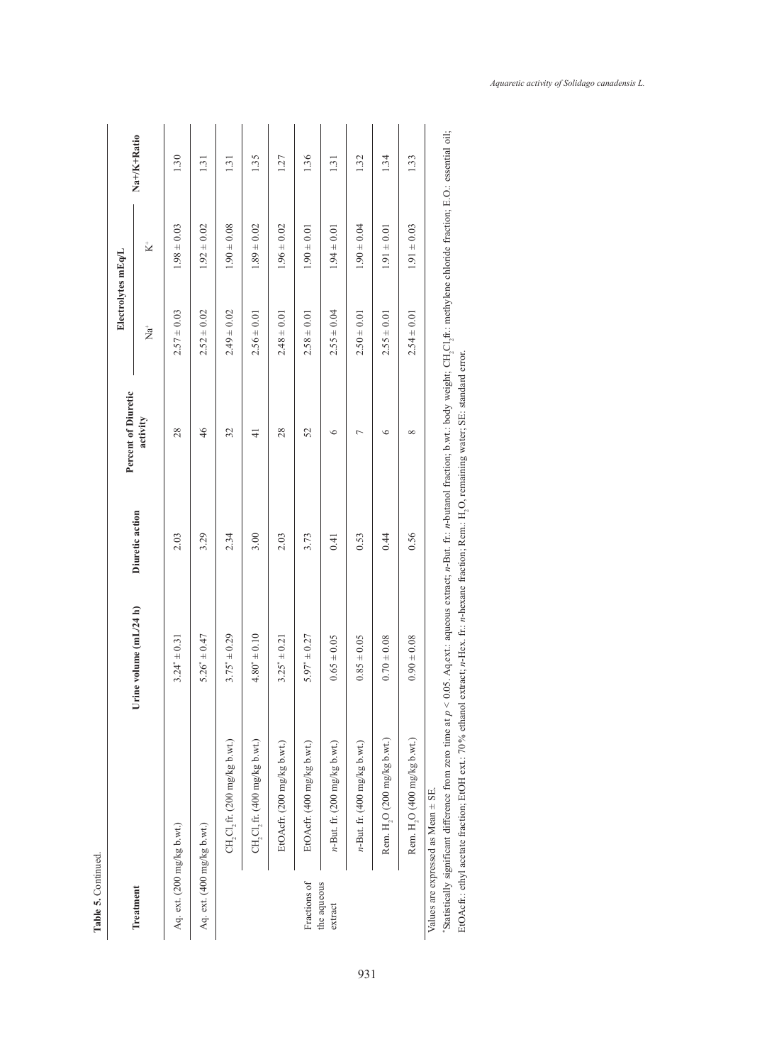|                            |                                         |                           |                 |                                 | Electrolytes mEq/L       |                 |             |
|----------------------------|-----------------------------------------|---------------------------|-----------------|---------------------------------|--------------------------|-----------------|-------------|
| Treatment                  |                                         | volume (mL/24 h)<br>Urine | Diuretic action | Percent of Diuretic<br>activity | $\stackrel{+}{\rm Na}^+$ | $\mathbf{X}^+$  | Na+/K+Ratio |
| Aq. ext. (200 mg/kg b.wt.) |                                         | $3.24^* \pm 0.31$         | 2.03            | 28                              | $2.57 \pm 0.03$          | $1.98 \pm 0.03$ | 1.30        |
| Aq. ext. (400 mg/kg b.wt.) |                                         | $5.26^* \pm 0.47$         | 3.29            | 46                              | $2.52 \pm 0.02$          | $1.92 \pm 0.02$ | 1.31        |
|                            | $CH_2Cl_2$ fr. (200 mg/kg b.wt.)        | $3.75^* \pm 0.29$         | 2.34            | 32                              | $2.49 \pm 0.02$          | $1.90 \pm 0.08$ | 1.31        |
|                            | $CH_2Cl_2$ fr. (400 mg/kg b.wt.)        | $4.80^* \pm 0.10$         | 3.00            | $\frac{1}{4}$                   | $2.56 \pm 0.01$          | $1.89 \pm 0.02$ | 1.35        |
|                            | EtOAcfr. (200 mg/kg b.wt.)              | $3.25^* \pm 0.21$         | 2.03            | 28                              | $2.48 \pm 0.01$          | $1.96 \pm 0.02$ | 1.27        |
| Fractions of               | EtOAcfr. (400 mg/kg b.wt.)              | $5.97^* \pm 0.27$         | 3.73            | 52                              | $2.58 \pm 0.01$          | $1.90 \pm 0.01$ | 1.36        |
| the aqueous<br>extract     | $n$ -But. fr. (200 mg/kg b.wt.)         | $0.65 \pm 0.05$           | 0.41            | $\circ$                         | $2.55 \pm 0.04$          | $1.94 \pm 0.01$ | 1.31        |
|                            | $n$ -But. fr. (400 mg/kg b.wt.)         | $0.85 \pm 0.05$           | 0.53            | $\overline{ }$                  | $2.50 \pm 0.01$          | $1.90 \pm 0.04$ | 1.32        |
|                            | Rem. H <sub>2</sub> O (200 mg/kg b.wt.) | $0.70 \pm 0.08$           | 0.44            | $\circ$                         | $2.55 \pm 0.01$          | $1.91 \pm 0.01$ | 1.34        |
|                            | Rem. H, O (400 mg/kg b.wt.)             | $0.90 \pm 0.08$           | 0.56            | $\infty$                        | $2.54 \pm 0.01$          | $1.91 \pm 0.03$ | 1.33        |
|                            | Values are expressed as Mean ± SE.      |                           |                 |                                 |                          |                 |             |

"Statistically significant difference from zero time at  $p < 0.05$ . Aq.ext.: aqueous extract; n-But. fr.: n-butanol fraction; b.wt.: body weight; CH<sub>2</sub>Cl<sub>2</sub>fr.: methylene chloride fraction; E.O.: essential oil; Statistically significant difference from zero time at  $p < 0.05$ . Aq.ext.: aqueous extract; n-But. fr.: n-butanol fraction; b.wt.: body weight; CH<sub>2</sub>Cl<sub>2</sub>ft:: methylene chloride fraction; E.O.: essential oil; EtOAcfr.: ethyl acetate fraction; EtOH ext:: 70% ethanol extract; n-Hex. fr.: n-hexane fraction; Rem.: H<sub>2</sub>O, remaining water; SE: standard error. EtOAcfr.: ethyl acetate fraction; EtOH ext.: 70% ethanol extract; *n*-Hex. fr.: *n*-hexane fraction; Rem.: H<sub>2</sub>O, remaining water; SE: standard error.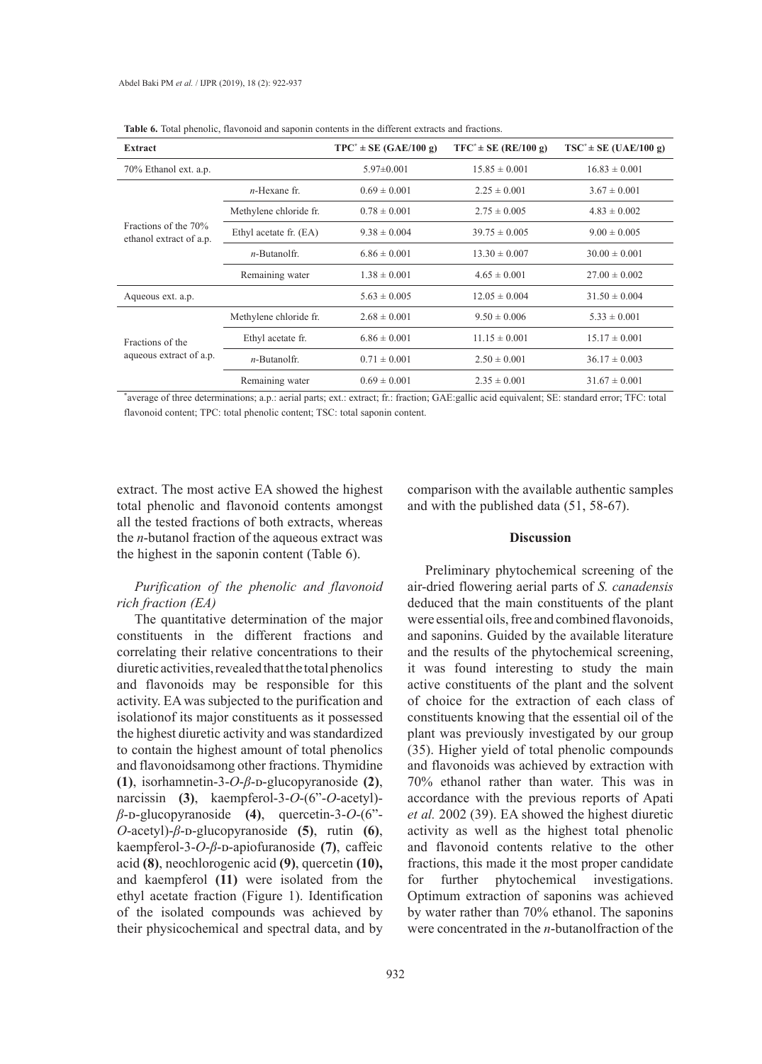| <b>Extract</b>                                  |                        | $TPC^* \pm SE(GAE/100 g)$ | $TFC^* \pm SE (RE/100 g)$ | $TSC^* \pm SE$ (UAE/100 g) |
|-------------------------------------------------|------------------------|---------------------------|---------------------------|----------------------------|
| 70% Ethanol ext. a.p.                           |                        | $5.97 \pm 0.001$          | $15.85 \pm 0.001$         | $16.83 \pm 0.001$          |
|                                                 | $n$ -Hexane fr.        | $0.69 \pm 0.001$          | $2.25 \pm 0.001$          | $3.67 \pm 0.001$           |
|                                                 | Methylene chloride fr. | $0.78 \pm 0.001$          | $2.75 \pm 0.005$          | $4.83 \pm 0.002$           |
| Fractions of the 70%<br>ethanol extract of a.p. | Ethyl acetate fr. (EA) | $9.38 \pm 0.004$          | $39.75 \pm 0.005$         | $9.00 \pm 0.005$           |
|                                                 | $n$ -Butanolfr.        | $6.86 \pm 0.001$          | $13.30 \pm 0.007$         | $30.00 \pm 0.001$          |
|                                                 | Remaining water        | $1.38 \pm 0.001$          | $4.65 \pm 0.001$          | $27.00 \pm 0.002$          |
| Aqueous ext. a.p.                               |                        | $5.63 \pm 0.005$          | $12.05 \pm 0.004$         | $31.50 \pm 0.004$          |
|                                                 | Methylene chloride fr. | $2.68 \pm 0.001$          | $9.50 \pm 0.006$          | $5.33 \pm 0.001$           |
| Fractions of the                                | Ethyl acetate fr.      | $6.86 \pm 0.001$          | $11.15 \pm 0.001$         | $15.17 \pm 0.001$          |
| aqueous extract of a.p.                         | $n$ -Butanolfr.        | $0.71 \pm 0.001$          | $2.50 \pm 0.001$          | $36.17 \pm 0.003$          |
|                                                 | Remaining water        | $0.69 \pm 0.001$          | $2.35 \pm 0.001$          | $31.67 \pm 0.001$          |

**Table 6.** Total phenolic, flavonoid and saponin contents in the different extracts and fractions.

\* average of three determinations; a.p.: aerial parts; ext.: extract; fr.: fraction; GAE:gallic acid equivalent; SE: standard error; TFC: total flavonoid content; TPC: total phenolic content; TSC: total saponin content.

extract. The most active EA showed the highest total phenolic and flavonoid contents amongst all the tested fractions of both extracts, whereas the *n*-butanol fraction of the aqueous extract was the highest in the saponin content (Table 6).

# *Purification of the phenolic and flavonoid rich fraction (EA)*

The quantitative determination of the major constituents in the different fractions and correlating their relative concentrations to their diuretic activities, revealed that the total phenolics and flavonoids may be responsible for this activity. EA was subjected to the purification and isolationof its major constituents as it possessed the highest diuretic activity and was standardized to contain the highest amount of total phenolics and flavonoidsamong other fractions. Thymidine **(1)**, isorhamnetin-3-*O*-*β*-ᴅ-glucopyranoside **(2)**, narcissin **(3)**, kaempferol-3-*O*-(6"-*O*-acetyl) *β*-ᴅ-glucopyranoside **(4)**, quercetin-3-*O*-(6"- *O*-acetyl)-*β*-ᴅ-glucopyranoside **(5)**, rutin **(6)**, kaempferol-3-*O*-*β*-ᴅ-apiofuranoside **(7)**, caffeic acid **(8)**, neochlorogenic acid **(9)**, quercetin **(10),** and kaempferol **(11)** were isolated from the ethyl acetate fraction (Figure 1). Identification of the isolated compounds was achieved by their physicochemical and spectral data, and by

comparison with the available authentic samples and with the published data (51, 58-67).

### **Discussion**

Preliminary phytochemical screening of the air-dried flowering aerial parts of *S. canadensis*  deduced that the main constituents of the plant were essential oils, free and combined flavonoids, and saponins. Guided by the available literature and the results of the phytochemical screening, it was found interesting to study the main active constituents of the plant and the solvent of choice for the extraction of each class of constituents knowing that the essential oil of the plant was previously investigated by our group (35). Higher yield of total phenolic compounds and flavonoids was achieved by extraction with 70% ethanol rather than water. This was in accordance with the previous reports of Apati *et al.* 2002 (39). EA showed the highest diuretic activity as well as the highest total phenolic and flavonoid contents relative to the other fractions, this made it the most proper candidate for further phytochemical investigations. Optimum extraction of saponins was achieved by water rather than 70% ethanol. The saponins were concentrated in the *n*-butanolfraction of the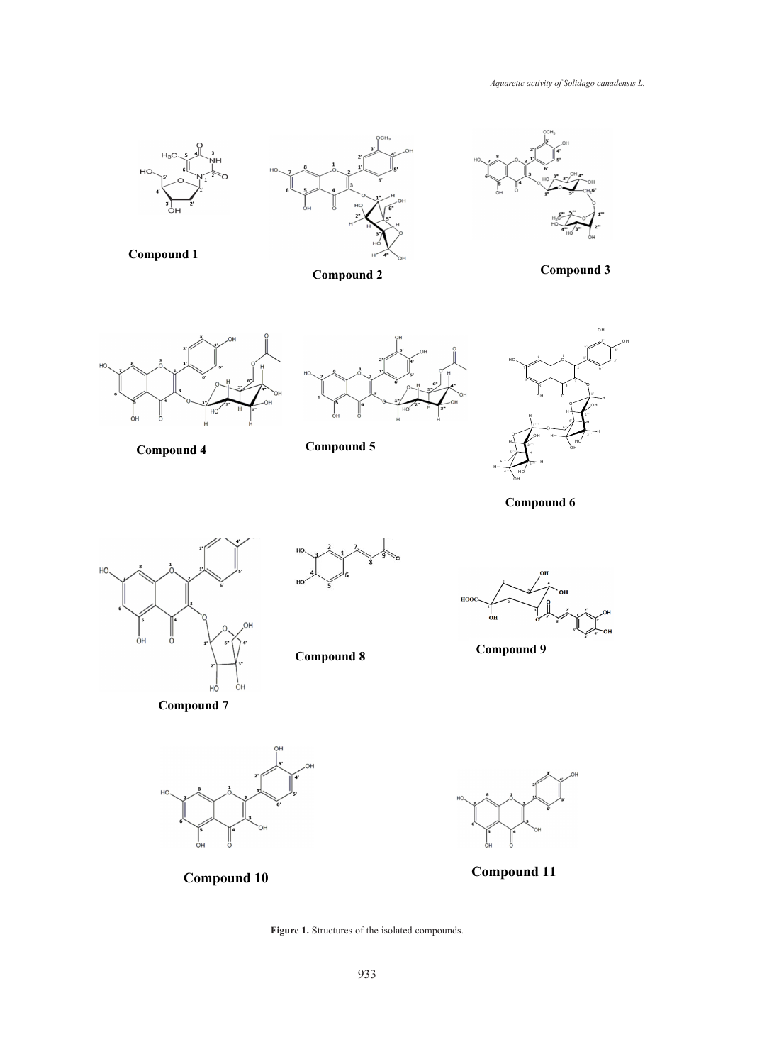*Aquaretic activity of Solidago canadensis L.*

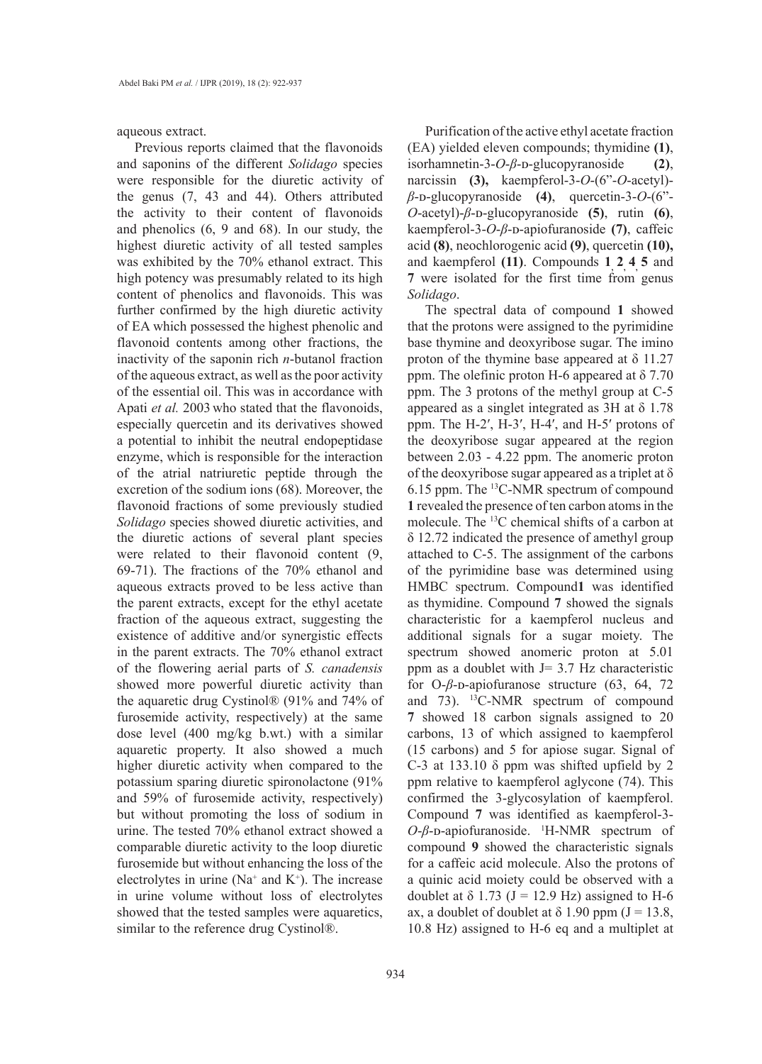aqueous extract.

Previous reports claimed that the flavonoids and saponins of the different *Solidago* species were responsible for the diuretic activity of the genus (7, 43 and 44). Others attributed the activity to their content of flavonoids and phenolics (6, 9 and 68). In our study, the highest diuretic activity of all tested samples was exhibited by the 70% ethanol extract. This high potency was presumably related to its high content of phenolics and flavonoids. This was further confirmed by the high diuretic activity of EA which possessed the highest phenolic and flavonoid contents among other fractions, the inactivity of the saponin rich *n*-butanol fraction of the aqueous extract, as well as the poor activity of the essential oil. This was in accordance with Apati *et al.* 2003 who stated that the flavonoids, especially quercetin and its derivatives showed a potential to inhibit the neutral endopeptidase enzyme, which is responsible for the interaction of the atrial natriuretic peptide through the excretion of the sodium ions (68). Moreover, the flavonoid fractions of some previously studied *Solidago* species showed diuretic activities, and the diuretic actions of several plant species were related to their flavonoid content (9, 69-71). The fractions of the 70% ethanol and aqueous extracts proved to be less active than the parent extracts, except for the ethyl acetate fraction of the aqueous extract, suggesting the existence of additive and/or synergistic effects in the parent extracts. The 70% ethanol extract of the flowering aerial parts of *S. canadensis* showed more powerful diuretic activity than the aquaretic drug Cystinol® (91% and 74% of furosemide activity, respectively) at the same dose level (400 mg/kg b.wt.) with a similar aquaretic property. It also showed a much higher diuretic activity when compared to the potassium sparing diuretic spironolactone (91% and 59% of furosemide activity, respectively) but without promoting the loss of sodium in urine. The tested 70% ethanol extract showed a comparable diuretic activity to the loop diuretic furosemide but without enhancing the loss of the electrolytes in urine ( $Na^+$  and  $K^+$ ). The increase in urine volume without loss of electrolytes showed that the tested samples were aquaretics, similar to the reference drug Cystinol®.

Purification of the active ethyl acetate fraction (EA) yielded eleven compounds; thymidine **(1)**, isorhamnetin-3-*O-β*-<sub>D</sub>-glucopyranoside (2), narcissin **(3),** kaempferol-3-*O*-(6"-*O*-acetyl) *β*-ᴅ-glucopyranoside **(4)**, quercetin-3-*O*-(6"- *O*-acetyl)-*β*-ᴅ-glucopyranoside **(5)**, rutin **(6)**, kaempferol-3-*O*-*β*-ᴅ-apiofuranoside **(7)**, caffeic acid **(8)**, neochlorogenic acid **(9)**, quercetin **(10),** and kaempferol (11). Compounds 1, 2, 4, 5 and **7** were isolated for the first time from genus *Solidago*.

The spectral data of compound **1** showed that the protons were assigned to the pyrimidine base thymine and deoxyribose sugar. The imino proton of the thymine base appeared at  $\delta$  11.27 ppm. The olefinic proton H-6 appeared at  $\delta$  7.70 ppm. The 3 protons of the methyl group at C-5 appeared as a singlet integrated as 3H at δ 1.78 ppm. The H-2′, H-3′, H-4′, and H-5′ protons of the deoxyribose sugar appeared at the region between 2.03 - 4.22 ppm. The anomeric proton of the deoxyribose sugar appeared as a triplet at  $\delta$ 6.15 ppm. The 13C-NMR spectrum of compound **1** revealed the presence of ten carbon atoms in the molecule. The 13C chemical shifts of a carbon at δ 12.72 indicated the presence of amethyl group attached to C-5. The assignment of the carbons of the pyrimidine base was determined using HMBC spectrum. Compound**1** was identified as thymidine. Compound **7** showed the signals characteristic for a kaempferol nucleus and additional signals for a sugar moiety. The spectrum showed anomeric proton at 5.01 ppm as a doublet with  $J = 3.7$  Hz characteristic for O- $\beta$ -<sub>D</sub>-apiofuranose structure (63, 64, 72) and 73). 13C-NMR spectrum of compound **7** showed 18 carbon signals assigned to 20 carbons, 13 of which assigned to kaempferol (15 carbons) and 5 for apiose sugar. Signal of C-3 at 133.10  $\delta$  ppm was shifted upfield by 2 ppm relative to kaempferol aglycone (74). This confirmed the 3-glycosylation of kaempferol. Compound **7** was identified as kaempferol-3- *O*-β-<sub>D</sub>-apiofuranoside. <sup>1</sup>H-NMR spectrum of compound **9** showed the characteristic signals for a caffeic acid molecule. Also the protons of a quinic acid moiety could be observed with a doublet at  $\delta$  1.73 (J = 12.9 Hz) assigned to H-6 ax, a doublet of doublet at  $\delta$  1.90 ppm (J = 13.8, 10.8 Hz) assigned to H-6 eq and a multiplet at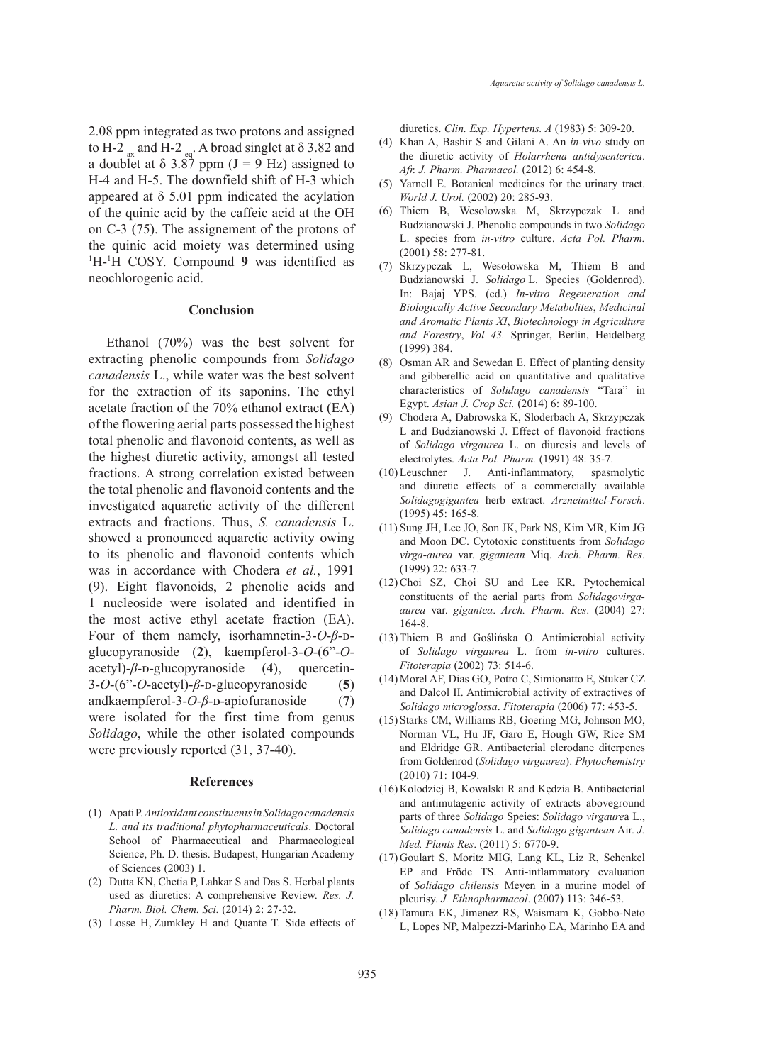2.08 ppm integrated as two protons and assigned to H-2  $_{\text{ax}}$  and H-2  $_{\text{eq}}$ . A broad singlet at  $\delta$  3.82 and a doublet at  $\delta$  3.87 ppm (J = 9 Hz) assigned to H-4 and H-5. The downfield shift of H-3 which appeared at  $\delta$  5.01 ppm indicated the acylation of the quinic acid by the caffeic acid at the OH on C-3 (75). The assignement of the protons of the quinic acid moiety was determined using <sup>1</sup>H-<sup>1</sup>H COSY. Compound 9 was identified as neochlorogenic acid.

### **Conclusion**

Ethanol (70%) was the best solvent for extracting phenolic compounds from *Solidago canadensis* L., while water was the best solvent for the extraction of its saponins. The ethyl acetate fraction of the 70% ethanol extract (EA) of the flowering aerial parts possessed the highest total phenolic and flavonoid contents, as well as the highest diuretic activity, amongst all tested fractions. A strong correlation existed between the total phenolic and flavonoid contents and the investigated aquaretic activity of the different extracts and fractions. Thus, *S. canadensis* L. showed a pronounced aquaretic activity owing to its phenolic and flavonoid contents which was in accordance with Chodera *et al.*, 1991 (9). Eight flavonoids, 2 phenolic acids and 1 nucleoside were isolated and identified in the most active ethyl acetate fraction (EA). Four of them namely, isorhamnetin-3-O-β-Dglucopyranoside (**2**), kaempferol-3-*O*-(6"-*O*acetyl)-β-<sub>D</sub>-glucopyranoside (4), quercetin-3-*O*-(6"-*O*-acetyl)-*β*-ᴅ-glucopyranoside (**5**) andkaempferol-3-*O*-*β*-ᴅ-apiofuranoside (**7**) were isolated for the first time from genus *Solidago*, while the other isolated compounds were previously reported (31, 37-40).

### **References**

- (1) Apati P. *Antioxidant constituents in Solidago canadensis L. and its traditional phytopharmaceuticals*. Doctoral School of Pharmaceutical and Pharmacological Science, Ph. D. thesis. Budapest, Hungarian Academy of Sciences (2003) 1.
- (2) Dutta KN, Chetia P, Lahkar S and Das S. Herbal plants used as diuretics: A comprehensive Review. *Res. J. Pharm. Biol. Chem. Sci.* (2014) 2: 27-32.
- (3) Losse H, Zumkley H and Quante T. Side effects of

diuretics. *Clin. Exp. Hypertens. A* (1983) 5: 309-20.

- Khan A, Bashir S and Gilani A. An *in-vivo* study on the diuretic activity of *Holarrhena antidysenterica*. *Afr. J. Pharm. Pharmacol.* (2012) 6: 454-8. (4)
- $(5)$  Yarnell E. Botanical medicines for the urinary tract. *World J. Urol.* (2002) 20: 285-93.
- (6) Thiem B, Wesolowska M, Skrzypczak L and Budzianowski J. Phenolic compounds in two *Solidago* L. species from *in-vitro* culture. *Acta Pol. Pharm.*  (2001) 58: 277-81.
- Skrzypczak L, Wesołowska M, Thiem B and (7) Budzianowski J. *Solidago* L. Species (Goldenrod). In: Bajaj YPS. (ed.) *In-vitro Regeneration and Biologically Active Secondary Metabolites*, *Medicinal and Aromatic Plants XI*, *Biotechnology in Agriculture and Forestry*, *Vol 43.* Springer, Berlin, Heidelberg (1999) 384.
- (8) Osman AR and Sewedan E. Effect of planting density and gibberellic acid on quantitative and qualitative characteristics of *Solidago canadensis* "Tara" in Egypt. *Asian J. Crop Sci.* (2014) 6: 89-100.
- Chodera A, Dabrowska K, Sloderbach A, Skrzypczak (9) L and Budzianowski J. Effect of flavonoid fractions of *Solidago virgaurea* L. on diuresis and levels of electrolytes. *Acta Pol. Pharm.* (1991) 48: 35-7.
- (10) Leuschner J. Anti-inflammatory, spasmolytic and diuretic effects of a commercially available *Solidagogigantea* herb extract. *Arzneimittel-Forsch*. (1995) 45: 165-8.
- (11) Sung JH, Lee JO, Son JK, Park NS, Kim MR, Kim JG and Moon DC. Cytotoxic constituents from *Solidago virga-aurea* var. *gigantean* Miq. *Arch. Pharm. Res*. (1999) 22: 633-7.
- (12) Choi SZ, Choi SU and Lee KR. Pytochemical constituents of the aerial parts from *Solidagovirgaaurea* var. *gigantea*. *Arch. Pharm. Res*. (2004) 27: 164-8.
- (13) Thiem B and Goślińska O. Antimicrobial activity of *Solidago virgaurea* L. from *in-vitro* cultures. *Fitoterapia* (2002) 73: 514-6.
- (14) Morel AF, Dias GO, Potro C, Simionatto E, Stuker CZ and Dalcol II. Antimicrobial activity of extractives of *Solidago microglossa*. *Fitoterapia* (2006) 77: 453-5.
- (15) Starks CM, Williams RB, Goering MG, Johnson MO, Norman VL, Hu JF, Garo E, Hough GW, Rice SM and Eldridge GR. Antibacterial clerodane diterpenes from Goldenrod (*Solidago virgaurea*). *Phytochemistry*  (2010) 71: 104-9.
- (16) Kolodziej B, Kowalski R and Kędzia B. Antibacterial and antimutagenic activity of extracts aboveground parts of three *Solidago* Speies: *Solidago virgaure*a L., *Solidago canadensis* L. and *Solidago gigantean* Air. *J. Med. Plants Res*. (2011) 5: 6770-9.
- (17) Goulart S, Moritz MIG, Lang KL, Liz R, Schenkel EP and Fröde TS. Anti-inflammatory evaluation of *Solidago chilensis* Meyen in a murine model of pleurisy. *J. Ethnopharmacol*. (2007) 113: 346-53.
- (18) Tamura EK, Jimenez RS, Waismam K, Gobbo-Neto L, Lopes NP, Malpezzi-Marinho EA, Marinho EA and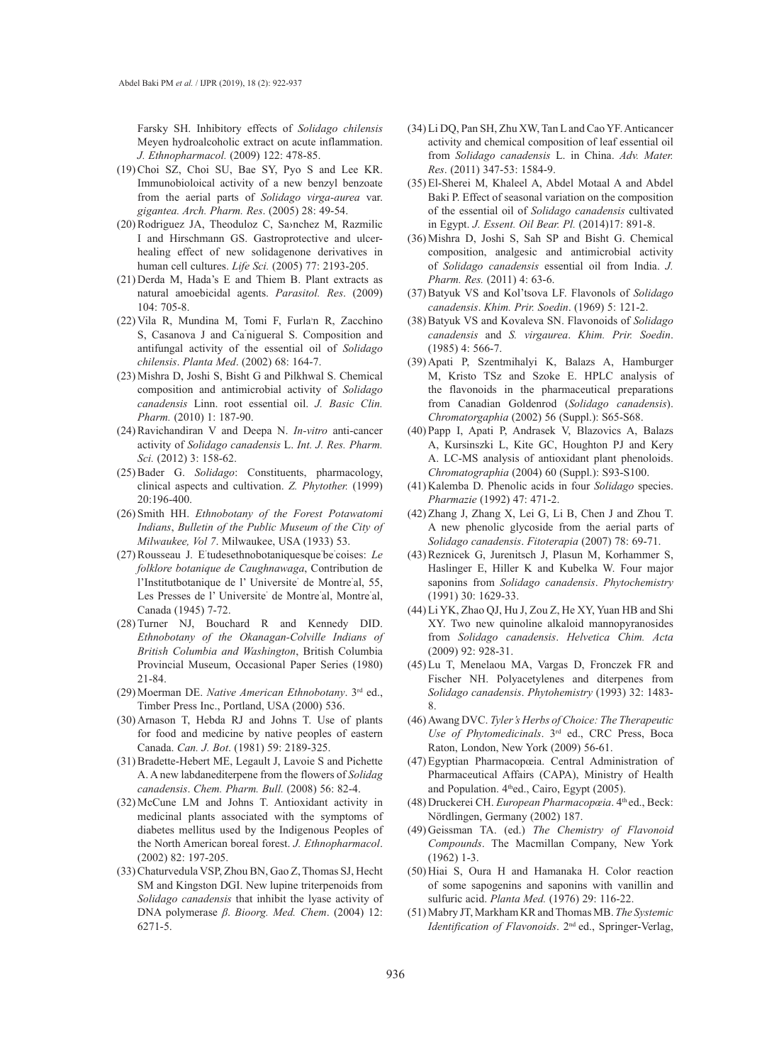Farsky SH. Inhibitory effects of *Solidago chilensis*  Meyen hydroalcoholic extract on acute inflammation. *J. Ethnopharmacol.* (2009) 122: 478-85.

- $(19)$  Choi SZ, Choi SU, Bae SY, Pyo S and Lee KR. Immunobioloical activity of a new benzyl benzoate from the aerial parts of *Solidago virga-aurea* var. *gigantea. Arch. Pharm. Res*. (2005) 28: 49-54.
- (20) Rodriguez JA, Theoduloz C, Sa>nchez M, Razmilic I and Hirschmann GS. Gastroprotective and ulcerhealing effect of new solidagenone derivatives in human cell cultures. *Life Sci.* (2005) 77: 2193-205.
- $(21)$  Derda M, Hada's E and Thiem B. Plant extracts as natural amoebicidal agents. *Parasitol. Res*. (2009) 104: 705-8.
- (22) Vila R, Mundina M, Tomi F, Furla'n R, Zacchino S, Casanova J and Ca nigueral S. Composition and antifungal activity of the essential oil of *Solidago chilensis*. *Planta Med*. (2002) 68: 164-7.
- (23) Mishra D, Joshi S, Bisht G and Pilkhwal S. Chemical composition and antimicrobial activity of *Solidago canadensis* Linn. root essential oil. *J. Basic Clin. Pharm.* (2010) 1: 187-90.
- (24) Ravichandiran V and Deepa N. *In-vitro* anti-cancer activity of *Solidago canadensis* L. *Int. J. Res. Pharm. Sci.* (2012) 3: 158-62.
- (25) Bader G. Solidago: Constituents, pharmacology, clinical aspects and cultivation. *Z. Phytother.* (1999) 20:196-400.
- (26) Smith HH. *Ethnobotany of the Forest Potawatomi Indians*, *Bulletin of the Public Museum of the City of Milwaukee, Vol 7*. Milwaukee, USA (1933) 53.
- (27) Rousseau J. E'tudesethnobotaniquesque'be' coises: Le *folklore botanique de Caughnawaga*, Contribution de l'Institutbotanique de l' Universite' de Montre' al, 55, Les Presses de l' Universite' de Montre' al, Montre' al, Canada (1945) 7-72.
- (28) Turner NJ, Bouchard R and Kennedy DID. *Ethnobotany of the Okanagan-Colville Indians of British Columbia and Washington*, British Columbia Provincial Museum, Occasional Paper Series (1980) 21-84.
- Moerman DE. *Native American Ethnobotany*. 3rd ed., (29) Timber Press Inc., Portland, USA (2000) 536.
- (30) Arnason T, Hebda RJ and Johns T. Use of plants for food and medicine by native peoples of eastern Canada. *Can. J. Bot*. (1981) 59: 2189-325.
- (31) Bradette-Hebert ME, Legault J, Lavoie S and Pichette A. A new labdanediterpene from the flowers of *Solidag canadensis*. *Chem. Pharm. Bull.* (2008) 56: 82-4.
- (32) McCune LM and Johns T. Antioxidant activity in medicinal plants associated with the symptoms of diabetes mellitus used by the Indigenous Peoples of the North American boreal forest. *J. Ethnopharmacol*. (2002) 82: 197-205.
- (33) Chaturvedula VSP, Zhou BN, Gao Z, Thomas SJ, Hecht SM and Kingston DGI. New lupine triterpenoids from *Solidago canadensis* that inhibit the lyase activity of DNA polymerase *β*. *Bioorg. Med. Chem*. (2004) 12: 6271-5.
- Li DQ, Pan SH, Zhu XW, Tan L and Cao YF. Anticancer (34) activity and chemical composition of leaf essential oil from *Solidago canadensis* L. in China. *Adv. Mater. Res*. (2011) 347-53: 1584-9.
- El-Sherei M, Khaleel A, Abdel Motaal A and Abdel (35) Baki P. Effect of seasonal variation on the composition of the essential oil of *Solidago canadensis* cultivated in Egypt. *J. Essent. Oil Bear. Pl.* (2014)17: 891-8.
- (36) Mishra D, Joshi S, Sah SP and Bisht G. Chemical composition, analgesic and antimicrobial activity of *Solidago canadensis* essential oil from India. *J. Pharm. Res.* (2011) 4: 63-6.
- Batyuk VS and Kol'tsova LF. Flavonols of *Solidago*  (37) *canadensis*. *Khim. Prir. Soedin*. (1969) 5: 121-2.
- (38) Batyuk VS and Kovaleva SN. Flavonoids of *Solidago canadensis* and *S. virgaurea*. *Khim. Prir. Soedin*. (1985) 4: 566-7.
- (39) Apati P, Szentmihalyi K, Balazs A, Hamburger M, Kristo TSz and Szoke E. HPLC analysis of the flavonoids in the pharmaceutical preparations from Canadian Goldenrod (*Solidago canadensis*). *Chromatorgaphia* (2002) 56 (Suppl.): S65-S68.
- (40) Papp I, Apati P, Andrasek V, Blazovics A, Balazs A, Kursinszki L, Kite GC, Houghton PJ and Kery A. LC-MS analysis of antioxidant plant phenoloids. *Chromatographia* (2004) 60 (Suppl.): S93-S100.
- (41) Kalemba D. Phenolic acids in four *Solidago* species. *Pharmazie* (1992) 47: 471-2.
- (42) Zhang J, Zhang X, Lei G, Li B, Chen J and Zhou T. A new phenolic glycoside from the aerial parts of *Solidago canadensis*. *Fitoterapia* (2007) 78: 69-71.
- (43) Reznicek G, Jurenitsch J, Plasun M, Korhammer S, Haslinger E, Hiller K and Kubelka W. Four major saponins from *Solidago canadensis*. *Phytochemistry*  (1991) 30: 1629-33.
- Li YK, Zhao QJ, Hu J, Zou Z, He XY, Yuan HB and Shi (44) XY. Two new quinoline alkaloid mannopyranosides from *Solidago canadensis*. *Helvetica Chim. Acta*  (2009) 92: 928-31.
- (45) Lu T, Menelaou MA, Vargas D, Fronczek FR and Fischer NH. Polyacetylenes and diterpenes from *Solidago canadensis*. *Phytohemistry* (1993) 32: 1483- 8.
- Awang DVC. *Tyler's Herbs of Choice: The Therapeutic*  (46) *Use of Phytomedicinals*. 3rd ed., CRC Press, Boca Raton, London, New York (2009) 56-61.
- (47) Egyptian Pharmacopœia. Central Administration of Pharmaceutical Affairs (CAPA), Ministry of Health and Population. 4<sup>th</sup>ed., Cairo, Egypt (2005).
- (48) Druckerei CH. European Pharmacopœia. 4<sup>th</sup> ed., Beck: Nördlingen, Germany (2002) 187.
- Geissman TA. (ed.) *The Chemistry of Flavonoid*  (49) *Compounds*. The Macmillan Company, New York (1962) 1-3.
- (50) Hiai S, Oura H and Hamanaka H. Color reaction of some sapogenins and saponins with vanillin and sulfuric acid. *Planta Med.* (1976) 29: 116-22.
- Mabry JT, Markham KR and Thomas MB. *The Systemic*  (51)*Identification of Flavonoids*. 2nd ed., Springer-Verlag,